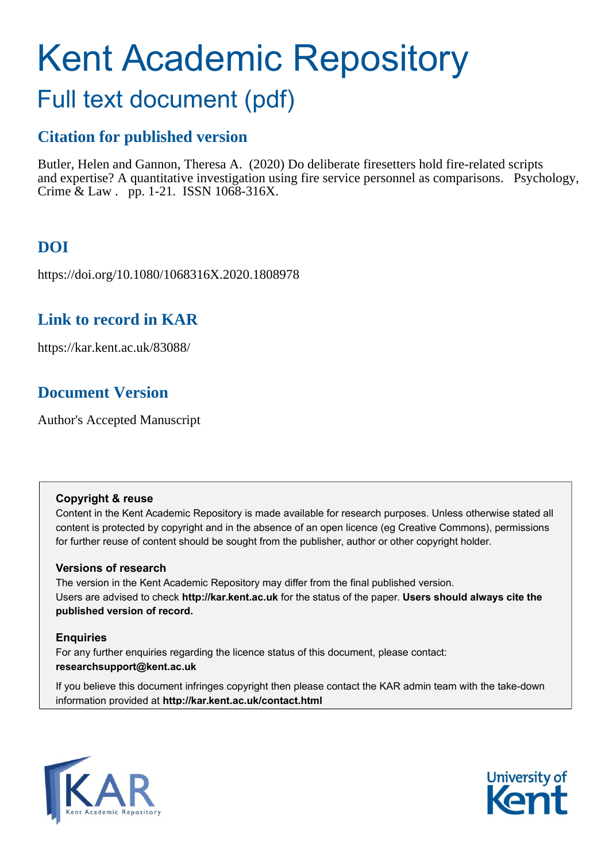# Kent Academic Repository

## Full text document (pdf)

## **Citation for published version**

Butler, Helen and Gannon, Theresa A. (2020) Do deliberate firesetters hold fire-related scripts and expertise? A quantitative investigation using fire service personnel as comparisons. Psychology, Crime & Law . pp. 1-21. ISSN 1068-316X.

## **DOI**

https://doi.org/10.1080/1068316X.2020.1808978

## **Link to record in KAR**

https://kar.kent.ac.uk/83088/

## **Document Version**

Author's Accepted Manuscript

#### **Copyright & reuse**

Content in the Kent Academic Repository is made available for research purposes. Unless otherwise stated all content is protected by copyright and in the absence of an open licence (eg Creative Commons), permissions for further reuse of content should be sought from the publisher, author or other copyright holder.

#### **Versions of research**

The version in the Kent Academic Repository may differ from the final published version. Users are advised to check **http://kar.kent.ac.uk** for the status of the paper. **Users should always cite the published version of record.**

#### **Enquiries**

For any further enquiries regarding the licence status of this document, please contact: **researchsupport@kent.ac.uk**

If you believe this document infringes copyright then please contact the KAR admin team with the take-down information provided at **http://kar.kent.ac.uk/contact.html**



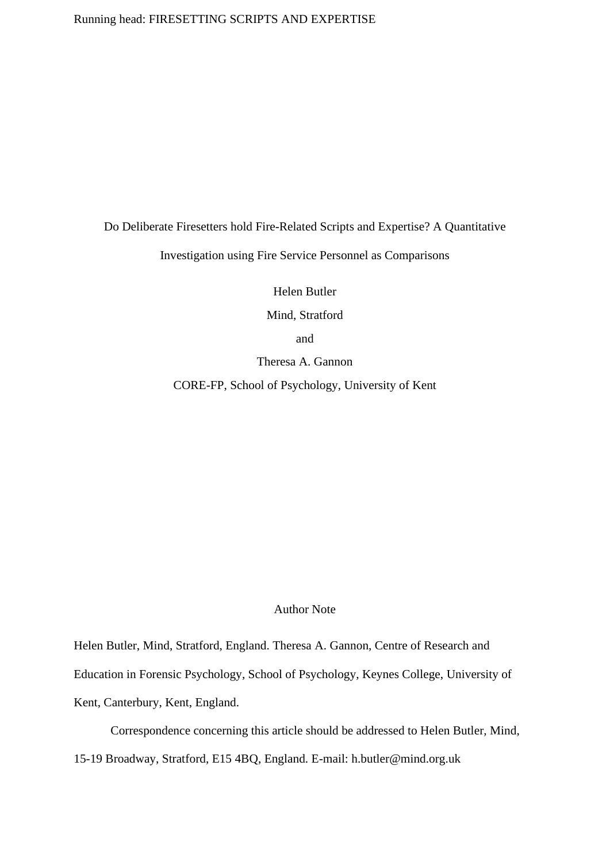#### Running head: FIRESETTING SCRIPTS AND EXPERTISE

#### Do Deliberate Firesetters hold Fire-Related Scripts and Expertise? A Quantitative

Investigation using Fire Service Personnel as Comparisons

Helen Butler

Mind, Stratford

and

Theresa A. Gannon

CORE-FP, School of Psychology, University of Kent

#### Author Note

Helen Butler, Mind, Stratford, England. Theresa A. Gannon, Centre of Research and Education in Forensic Psychology, School of Psychology, Keynes College, University of Kent, Canterbury, Kent, England.

Correspondence concerning this article should be addressed to Helen Butler, Mind,

15-19 Broadway, Stratford, E15 4BQ, England. E-mail: h.butler@mind.org.uk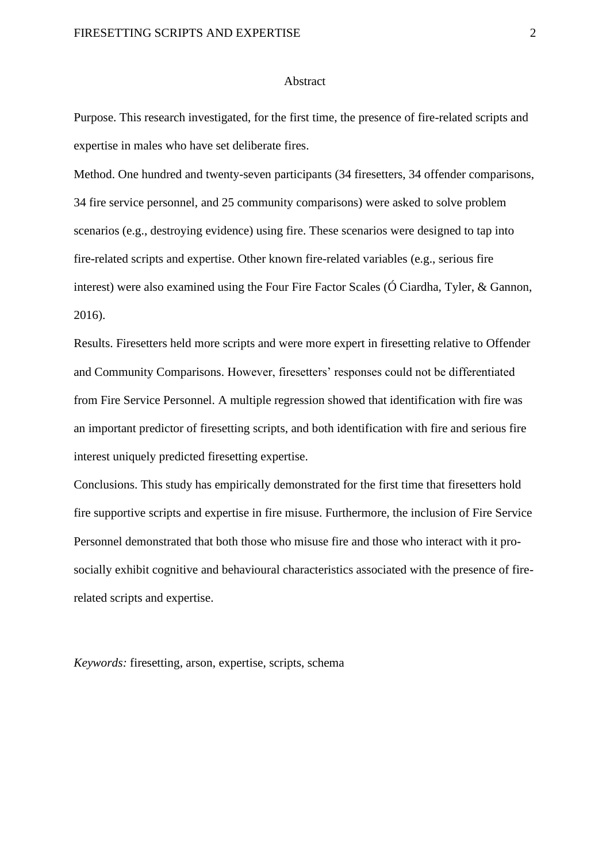#### **Abstract**

Purpose. This research investigated, for the first time, the presence of fire-related scripts and expertise in males who have set deliberate fires.

Method. One hundred and twenty-seven participants (34 firesetters, 34 offender comparisons, 34 fire service personnel, and 25 community comparisons) were asked to solve problem scenarios (e.g., destroying evidence) using fire. These scenarios were designed to tap into fire-related scripts and expertise. Other known fire-related variables (e.g., serious fire interest) were also examined using the Four Fire Factor Scales (Ó Ciardha, Tyler, & Gannon, 2016).

Results. Firesetters held more scripts and were more expert in firesetting relative to Offender and Community Comparisons. However, firesetters' responses could not be differentiated from Fire Service Personnel. A multiple regression showed that identification with fire was an important predictor of firesetting scripts, and both identification with fire and serious fire interest uniquely predicted firesetting expertise.

Conclusions. This study has empirically demonstrated for the first time that firesetters hold fire supportive scripts and expertise in fire misuse. Furthermore, the inclusion of Fire Service Personnel demonstrated that both those who misuse fire and those who interact with it prosocially exhibit cognitive and behavioural characteristics associated with the presence of firerelated scripts and expertise.

*Keywords:* firesetting, arson, expertise, scripts, schema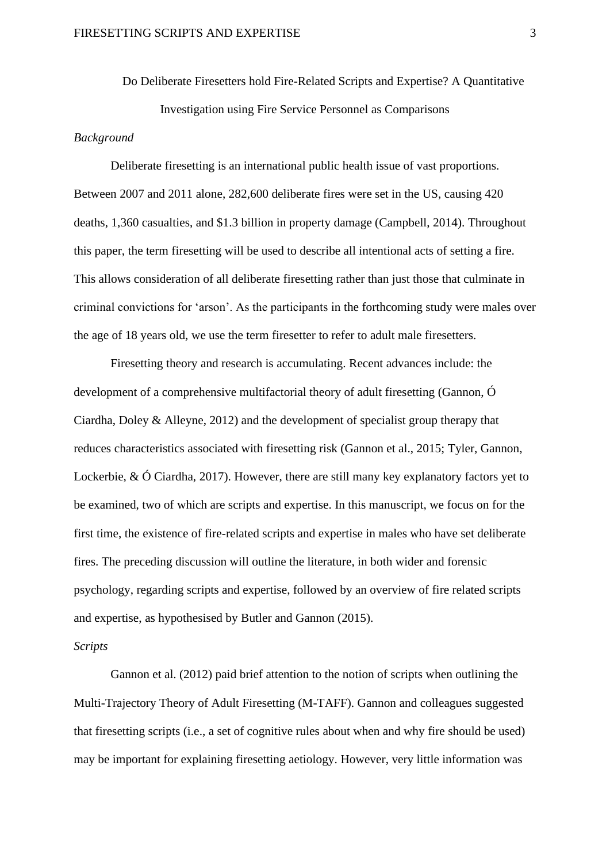Do Deliberate Firesetters hold Fire-Related Scripts and Expertise? A Quantitative Investigation using Fire Service Personnel as Comparisons

#### *Background*

Deliberate firesetting is an international public health issue of vast proportions. Between 2007 and 2011 alone, 282,600 deliberate fires were set in the US, causing 420 deaths, 1,360 casualties, and \$1.3 billion in property damage (Campbell, 2014). Throughout this paper, the term firesetting will be used to describe all intentional acts of setting a fire. This allows consideration of all deliberate firesetting rather than just those that culminate in criminal convictions for 'arson'. As the participants in the forthcoming study were males over the age of 18 years old, we use the term firesetter to refer to adult male firesetters.

Firesetting theory and research is accumulating. Recent advances include: the development of a comprehensive multifactorial theory of adult firesetting (Gannon, Ó Ciardha, Doley & Alleyne, 2012) and the development of specialist group therapy that reduces characteristics associated with firesetting risk (Gannon et al., 2015; Tyler, Gannon, Lockerbie, & Ó Ciardha, 2017). However, there are still many key explanatory factors yet to be examined, two of which are scripts and expertise. In this manuscript, we focus on for the first time, the existence of fire-related scripts and expertise in males who have set deliberate fires. The preceding discussion will outline the literature, in both wider and forensic psychology, regarding scripts and expertise, followed by an overview of fire related scripts and expertise, as hypothesised by Butler and Gannon (2015).

#### *Scripts*

Gannon et al. (2012) paid brief attention to the notion of scripts when outlining the Multi-Trajectory Theory of Adult Firesetting (M-TAFF). Gannon and colleagues suggested that firesetting scripts (i.e., a set of cognitive rules about when and why fire should be used) may be important for explaining firesetting aetiology. However, very little information was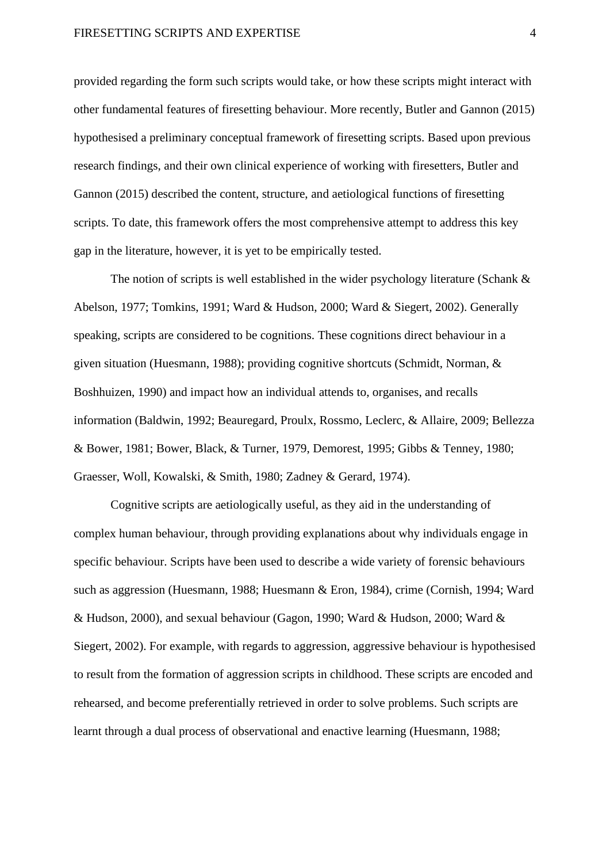provided regarding the form such scripts would take, or how these scripts might interact with other fundamental features of firesetting behaviour. More recently, Butler and Gannon (2015) hypothesised a preliminary conceptual framework of firesetting scripts. Based upon previous research findings, and their own clinical experience of working with firesetters, Butler and Gannon (2015) described the content, structure, and aetiological functions of firesetting scripts. To date, this framework offers the most comprehensive attempt to address this key gap in the literature, however, it is yet to be empirically tested.

The notion of scripts is well established in the wider psychology literature (Schank & Abelson, 1977; Tomkins, 1991; Ward & Hudson, 2000; Ward & Siegert, 2002). Generally speaking, scripts are considered to be cognitions. These cognitions direct behaviour in a given situation (Huesmann, 1988); providing cognitive shortcuts (Schmidt, Norman, & Boshhuizen, 1990) and impact how an individual attends to, organises, and recalls information (Baldwin, 1992; Beauregard, Proulx, Rossmo, Leclerc, & Allaire, 2009; Bellezza & Bower, 1981; Bower, Black, & Turner, 1979, Demorest, 1995; Gibbs & Tenney, 1980; Graesser, Woll, Kowalski, & Smith, 1980; Zadney & Gerard, 1974).

Cognitive scripts are aetiologically useful, as they aid in the understanding of complex human behaviour, through providing explanations about why individuals engage in specific behaviour. Scripts have been used to describe a wide variety of forensic behaviours such as aggression (Huesmann, 1988; Huesmann & Eron, 1984), crime (Cornish, 1994; Ward & Hudson, 2000), and sexual behaviour (Gagon, 1990; Ward & Hudson, 2000; Ward & Siegert, 2002). For example, with regards to aggression, aggressive behaviour is hypothesised to result from the formation of aggression scripts in childhood. These scripts are encoded and rehearsed, and become preferentially retrieved in order to solve problems. Such scripts are learnt through a dual process of observational and enactive learning (Huesmann, 1988;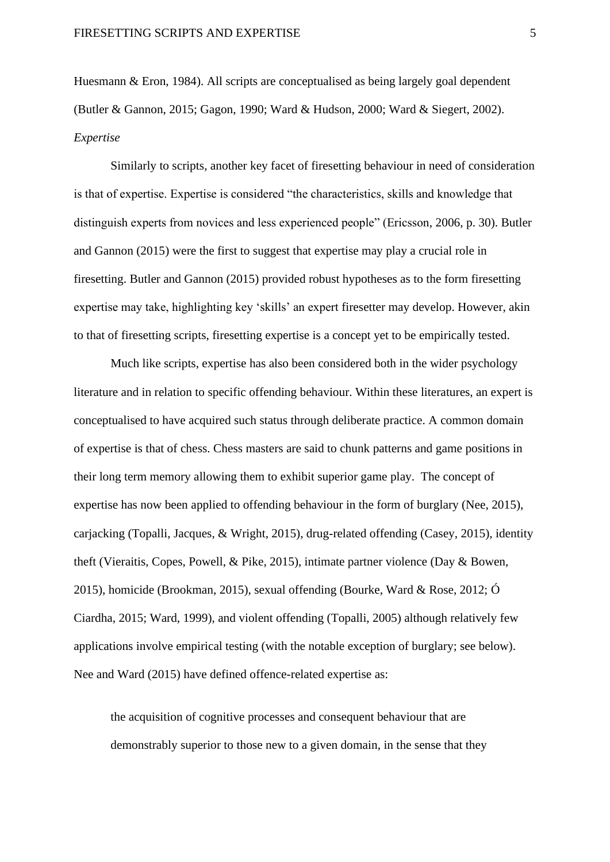Huesmann & Eron, 1984). All scripts are conceptualised as being largely goal dependent (Butler & Gannon, 2015; Gagon, 1990; Ward & Hudson, 2000; Ward & Siegert, 2002). *Expertise* 

Similarly to scripts, another key facet of firesetting behaviour in need of consideration is that of expertise. Expertise is considered "the characteristics, skills and knowledge that distinguish experts from novices and less experienced people" (Ericsson, 2006, p. 30). Butler and Gannon (2015) were the first to suggest that expertise may play a crucial role in firesetting. Butler and Gannon (2015) provided robust hypotheses as to the form firesetting expertise may take, highlighting key 'skills' an expert firesetter may develop. However, akin to that of firesetting scripts, firesetting expertise is a concept yet to be empirically tested.

Much like scripts, expertise has also been considered both in the wider psychology literature and in relation to specific offending behaviour. Within these literatures, an expert is conceptualised to have acquired such status through deliberate practice. A common domain of expertise is that of chess. Chess masters are said to chunk patterns and game positions in their long term memory allowing them to exhibit superior game play. The concept of expertise has now been applied to offending behaviour in the form of burglary (Nee, 2015), carjacking (Topalli, Jacques, & Wright, 2015), drug-related offending (Casey, 2015), identity theft (Vieraitis, Copes, Powell, & Pike, 2015), intimate partner violence (Day & Bowen, 2015), homicide (Brookman, 2015), sexual offending (Bourke, Ward & Rose, 2012; Ó Ciardha, 2015; Ward, 1999), and violent offending (Topalli, 2005) although relatively few applications involve empirical testing (with the notable exception of burglary; see below). Nee and Ward (2015) have defined offence-related expertise as:

the acquisition of cognitive processes and consequent behaviour that are demonstrably superior to those new to a given domain, in the sense that they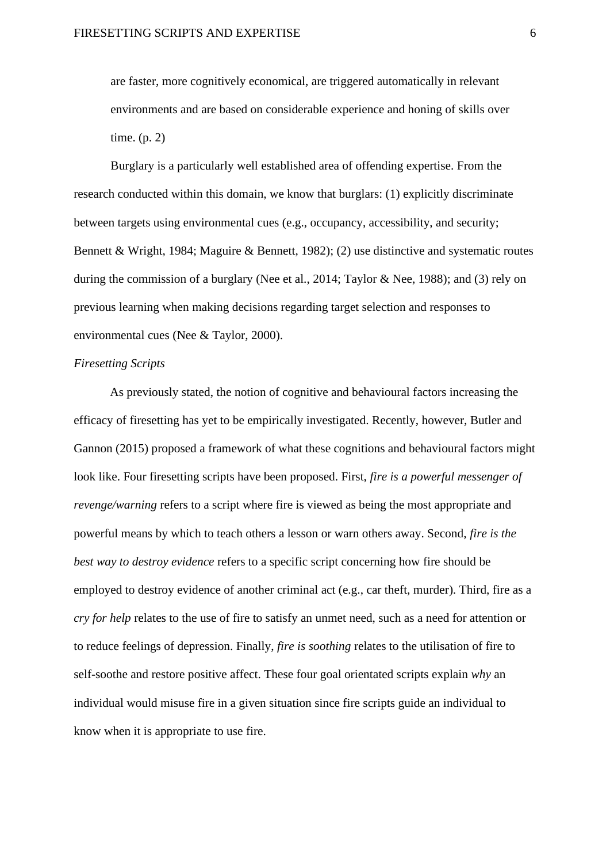are faster, more cognitively economical, are triggered automatically in relevant environments and are based on considerable experience and honing of skills over time. (p. 2)

Burglary is a particularly well established area of offending expertise. From the research conducted within this domain, we know that burglars: (1) explicitly discriminate between targets using environmental cues (e.g., occupancy, accessibility, and security; Bennett & Wright, 1984; Maguire & Bennett, 1982); (2) use distinctive and systematic routes during the commission of a burglary (Nee et al., 2014; Taylor & Nee, 1988); and (3) rely on previous learning when making decisions regarding target selection and responses to environmental cues (Nee & Taylor, 2000).

#### *Firesetting Scripts*

As previously stated, the notion of cognitive and behavioural factors increasing the efficacy of firesetting has yet to be empirically investigated. Recently, however, Butler and Gannon (2015) proposed a framework of what these cognitions and behavioural factors might look like. Four firesetting scripts have been proposed. First, *fire is a powerful messenger of revenge/warning* refers to a script where fire is viewed as being the most appropriate and powerful means by which to teach others a lesson or warn others away. Second, *fire is the best way to destroy evidence* refers to a specific script concerning how fire should be employed to destroy evidence of another criminal act (e.g., car theft, murder). Third, fire as a *cry for help* relates to the use of fire to satisfy an unmet need, such as a need for attention or to reduce feelings of depression. Finally, *fire is soothing* relates to the utilisation of fire to self-soothe and restore positive affect. These four goal orientated scripts explain *why* an individual would misuse fire in a given situation since fire scripts guide an individual to know when it is appropriate to use fire.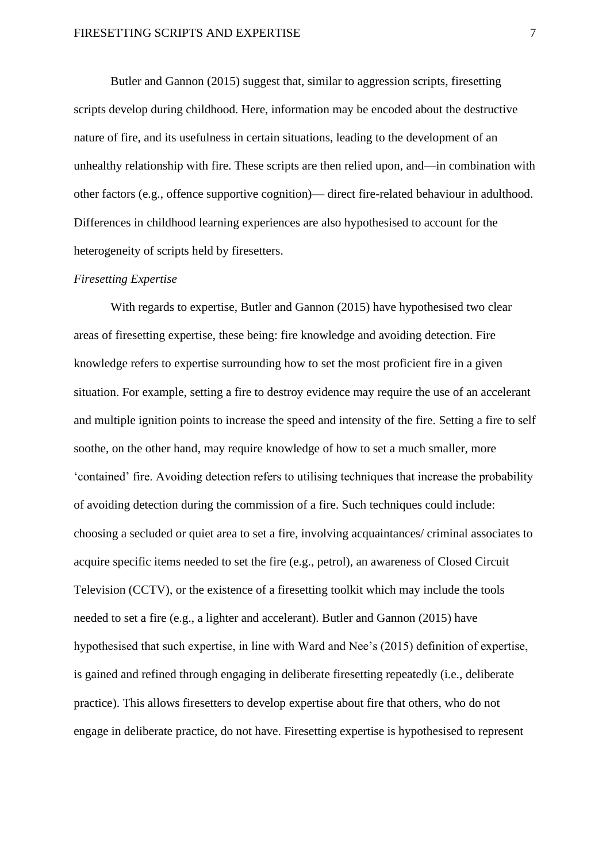Butler and Gannon (2015) suggest that, similar to aggression scripts, firesetting scripts develop during childhood. Here, information may be encoded about the destructive nature of fire, and its usefulness in certain situations, leading to the development of an unhealthy relationship with fire. These scripts are then relied upon, and—in combination with other factors (e.g., offence supportive cognition)— direct fire-related behaviour in adulthood. Differences in childhood learning experiences are also hypothesised to account for the heterogeneity of scripts held by firesetters.

#### *Firesetting Expertise*

With regards to expertise, Butler and Gannon (2015) have hypothesised two clear areas of firesetting expertise, these being: fire knowledge and avoiding detection. Fire knowledge refers to expertise surrounding how to set the most proficient fire in a given situation. For example, setting a fire to destroy evidence may require the use of an accelerant and multiple ignition points to increase the speed and intensity of the fire. Setting a fire to self soothe, on the other hand, may require knowledge of how to set a much smaller, more 'contained' fire. Avoiding detection refers to utilising techniques that increase the probability of avoiding detection during the commission of a fire. Such techniques could include: choosing a secluded or quiet area to set a fire, involving acquaintances/ criminal associates to acquire specific items needed to set the fire (e.g., petrol), an awareness of Closed Circuit Television (CCTV), or the existence of a firesetting toolkit which may include the tools needed to set a fire (e.g., a lighter and accelerant). Butler and Gannon (2015) have hypothesised that such expertise, in line with Ward and Nee's (2015) definition of expertise, is gained and refined through engaging in deliberate firesetting repeatedly (i.e., deliberate practice). This allows firesetters to develop expertise about fire that others, who do not engage in deliberate practice, do not have. Firesetting expertise is hypothesised to represent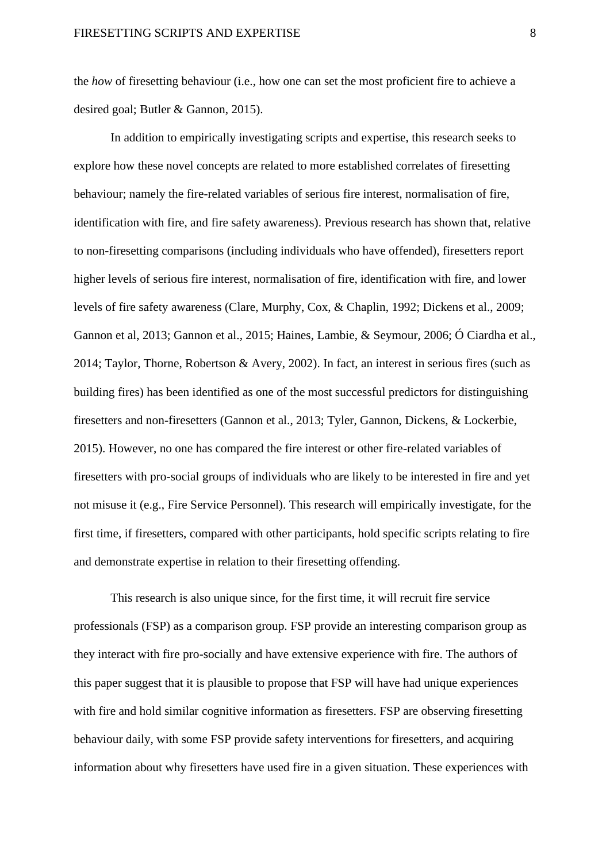the *how* of firesetting behaviour (i.e., how one can set the most proficient fire to achieve a desired goal; Butler & Gannon, 2015).

In addition to empirically investigating scripts and expertise, this research seeks to explore how these novel concepts are related to more established correlates of firesetting behaviour; namely the fire-related variables of serious fire interest, normalisation of fire, identification with fire, and fire safety awareness). Previous research has shown that, relative to non-firesetting comparisons (including individuals who have offended), firesetters report higher levels of serious fire interest, normalisation of fire, identification with fire, and lower levels of fire safety awareness (Clare, Murphy, Cox, & Chaplin, 1992; Dickens et al., 2009; Gannon et al, 2013; Gannon et al., 2015; Haines, Lambie, & Seymour, 2006; Ó Ciardha et al., 2014; Taylor, Thorne, Robertson & Avery, 2002). In fact, an interest in serious fires (such as building fires) has been identified as one of the most successful predictors for distinguishing firesetters and non-firesetters (Gannon et al., 2013; Tyler, Gannon, Dickens, & Lockerbie, 2015). However, no one has compared the fire interest or other fire-related variables of firesetters with pro-social groups of individuals who are likely to be interested in fire and yet not misuse it (e.g., Fire Service Personnel). This research will empirically investigate, for the first time, if firesetters, compared with other participants, hold specific scripts relating to fire and demonstrate expertise in relation to their firesetting offending.

This research is also unique since, for the first time, it will recruit fire service professionals (FSP) as a comparison group. FSP provide an interesting comparison group as they interact with fire pro-socially and have extensive experience with fire. The authors of this paper suggest that it is plausible to propose that FSP will have had unique experiences with fire and hold similar cognitive information as firesetters. FSP are observing firesetting behaviour daily, with some FSP provide safety interventions for firesetters, and acquiring information about why firesetters have used fire in a given situation. These experiences with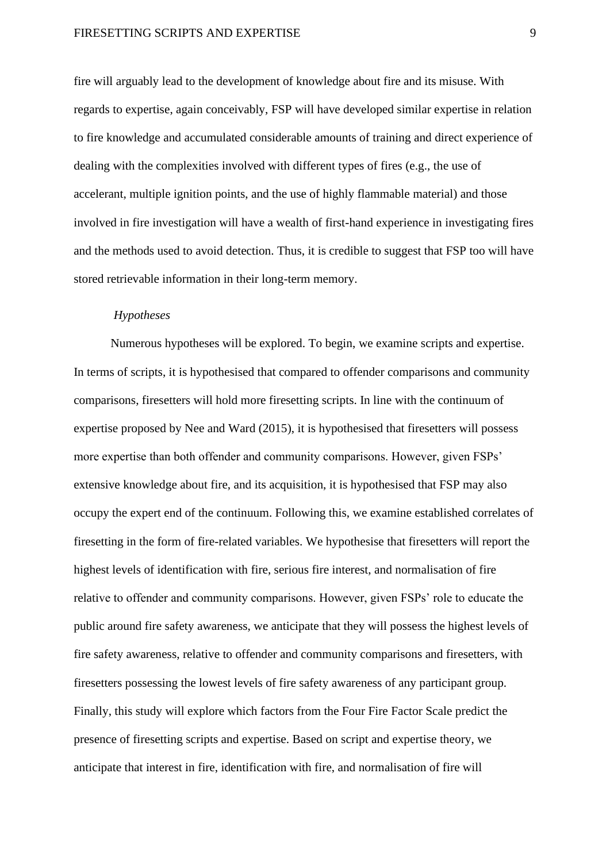fire will arguably lead to the development of knowledge about fire and its misuse. With regards to expertise, again conceivably, FSP will have developed similar expertise in relation to fire knowledge and accumulated considerable amounts of training and direct experience of dealing with the complexities involved with different types of fires (e.g., the use of accelerant, multiple ignition points, and the use of highly flammable material) and those involved in fire investigation will have a wealth of first-hand experience in investigating fires and the methods used to avoid detection. Thus, it is credible to suggest that FSP too will have stored retrievable information in their long-term memory.

#### *Hypotheses*

Numerous hypotheses will be explored. To begin, we examine scripts and expertise. In terms of scripts, it is hypothesised that compared to offender comparisons and community comparisons, firesetters will hold more firesetting scripts. In line with the continuum of expertise proposed by Nee and Ward (2015), it is hypothesised that firesetters will possess more expertise than both offender and community comparisons. However, given FSPs' extensive knowledge about fire, and its acquisition, it is hypothesised that FSP may also occupy the expert end of the continuum. Following this, we examine established correlates of firesetting in the form of fire-related variables. We hypothesise that firesetters will report the highest levels of identification with fire, serious fire interest, and normalisation of fire relative to offender and community comparisons. However, given FSPs' role to educate the public around fire safety awareness, we anticipate that they will possess the highest levels of fire safety awareness, relative to offender and community comparisons and firesetters, with firesetters possessing the lowest levels of fire safety awareness of any participant group. Finally, this study will explore which factors from the Four Fire Factor Scale predict the presence of firesetting scripts and expertise. Based on script and expertise theory, we anticipate that interest in fire, identification with fire, and normalisation of fire will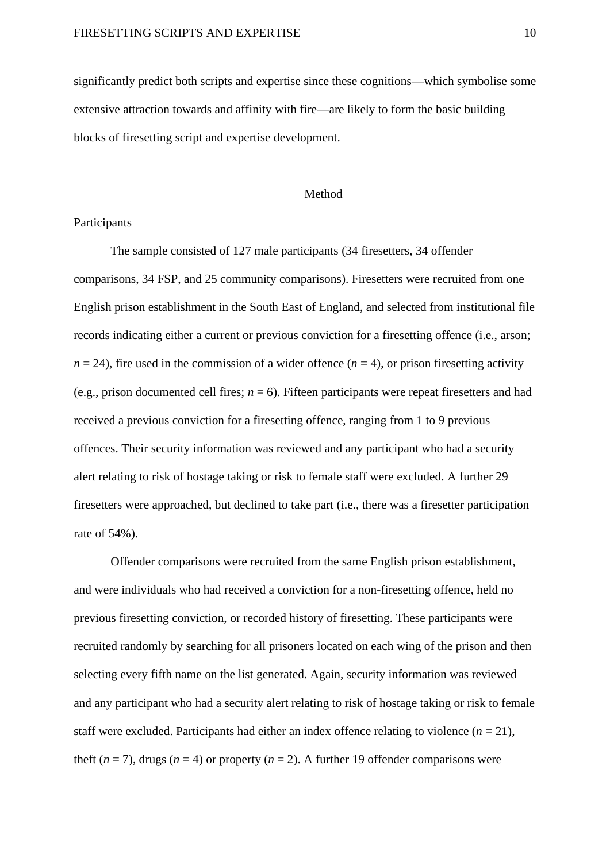significantly predict both scripts and expertise since these cognitions—which symbolise some extensive attraction towards and affinity with fire—are likely to form the basic building blocks of firesetting script and expertise development.

#### Method

#### Participants

The sample consisted of 127 male participants (34 firesetters, 34 offender comparisons, 34 FSP, and 25 community comparisons). Firesetters were recruited from one English prison establishment in the South East of England, and selected from institutional file records indicating either a current or previous conviction for a firesetting offence (i.e., arson;  $n = 24$ ), fire used in the commission of a wider offence ( $n = 4$ ), or prison firesetting activity (e.g., prison documented cell fires;  $n = 6$ ). Fifteen participants were repeat firesetters and had received a previous conviction for a firesetting offence, ranging from 1 to 9 previous offences. Their security information was reviewed and any participant who had a security alert relating to risk of hostage taking or risk to female staff were excluded. A further 29 firesetters were approached, but declined to take part (i.e., there was a firesetter participation rate of 54%).

Offender comparisons were recruited from the same English prison establishment, and were individuals who had received a conviction for a non-firesetting offence, held no previous firesetting conviction, or recorded history of firesetting. These participants were recruited randomly by searching for all prisoners located on each wing of the prison and then selecting every fifth name on the list generated. Again, security information was reviewed and any participant who had a security alert relating to risk of hostage taking or risk to female staff were excluded. Participants had either an index offence relating to violence  $(n = 21)$ , theft ( $n = 7$ ), drugs ( $n = 4$ ) or property ( $n = 2$ ). A further 19 offender comparisons were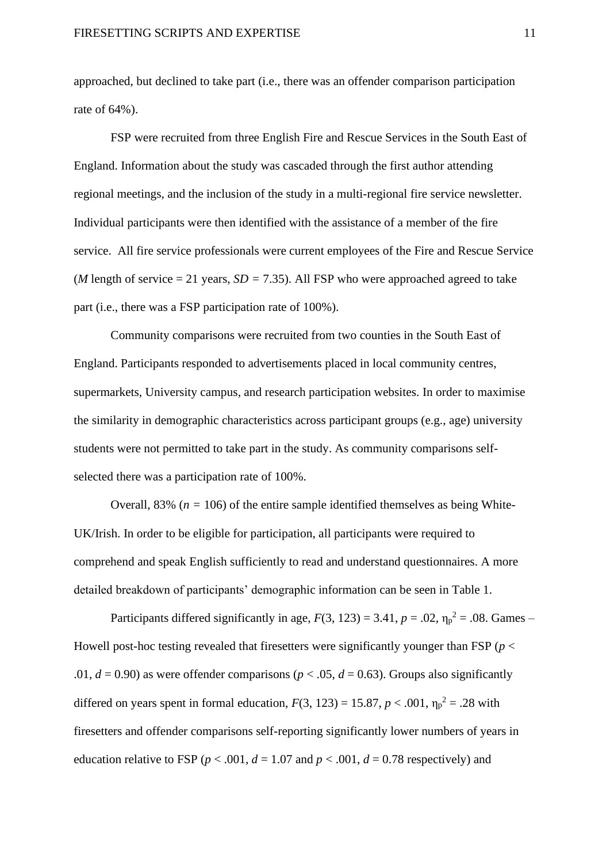approached, but declined to take part (i.e., there was an offender comparison participation rate of 64%).

FSP were recruited from three English Fire and Rescue Services in the South East of England. Information about the study was cascaded through the first author attending regional meetings, and the inclusion of the study in a multi-regional fire service newsletter. Individual participants were then identified with the assistance of a member of the fire service. All fire service professionals were current employees of the Fire and Rescue Service (*M* length of service  $= 21$  years,  $SD = 7.35$ ). All FSP who were approached agreed to take part (i.e., there was a FSP participation rate of 100%).

Community comparisons were recruited from two counties in the South East of England. Participants responded to advertisements placed in local community centres, supermarkets, University campus, and research participation websites. In order to maximise the similarity in demographic characteristics across participant groups (e.g., age) university students were not permitted to take part in the study. As community comparisons selfselected there was a participation rate of 100%.

Overall, 83% ( $n = 106$ ) of the entire sample identified themselves as being White-UK/Irish. In order to be eligible for participation, all participants were required to comprehend and speak English sufficiently to read and understand questionnaires. A more detailed breakdown of participants' demographic information can be seen in Table 1.

Participants differed significantly in age,  $F(3, 123) = 3.41$ ,  $p = .02$ ,  $\eta_p^2 = .08$ . Games – Howell post-hoc testing revealed that firesetters were significantly younger than FSP (*p* < .01,  $d = 0.90$ ) as were offender comparisons ( $p < .05$ ,  $d = 0.63$ ). Groups also significantly differed on years spent in formal education,  $F(3, 123) = 15.87$ ,  $p < .001$ ,  $\eta_p^2 = .28$  with firesetters and offender comparisons self-reporting significantly lower numbers of years in education relative to FSP ( $p < .001$ ,  $d = 1.07$  and  $p < .001$ ,  $d = 0.78$  respectively) and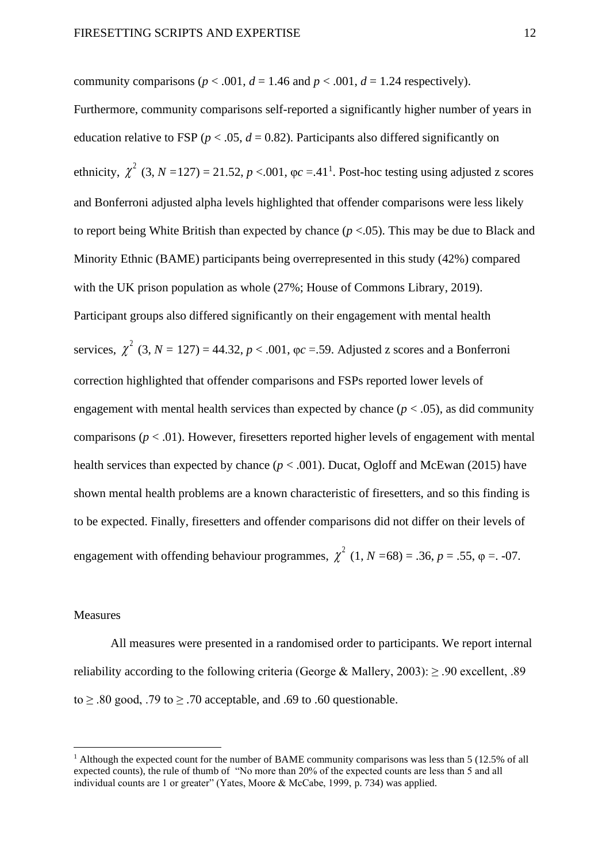community comparisons ( $p < .001$ ,  $d = 1.46$  and  $p < .001$ ,  $d = 1.24$  respectively). Furthermore, community comparisons self-reported a significantly higher number of years in education relative to FSP ( $p < .05$ ,  $d = 0.82$ ). Participants also differed significantly on ethnicity,  $\chi^2$  (3, *N* = 127) = 21.52, *p* <.001,  $\varphi c = 0.41^1$ . Post-hoc testing using adjusted z scores and Bonferroni adjusted alpha levels highlighted that offender comparisons were less likely to report being White British than expected by chance (*p* <.05). This may be due to Black and Minority Ethnic (BAME) participants being overrepresented in this study (42%) compared with the UK prison population as whole (27%; House of Commons Library, 2019). Participant groups also differed significantly on their engagement with mental health services,  $\chi^2$  (3, *N* = 127) = 44.32, *p* < .001,  $\varphi c$  = 59. Adjusted z scores and a Bonferroni correction highlighted that offender comparisons and FSPs reported lower levels of engagement with mental health services than expected by chance  $(p < .05)$ , as did community comparisons (*p* < .01). However, firesetters reported higher levels of engagement with mental health services than expected by chance (*p* < .001). Ducat, Ogloff and McEwan (2015) have shown mental health problems are a known characteristic of firesetters, and so this finding is to be expected. Finally, firesetters and offender comparisons did not differ on their levels of engagement with offending behaviour programmes,  $\chi^2$  (1, *N* = 68) = .36, *p* = .55,  $\varphi$  = .07.

#### Measures

All measures were presented in a randomised order to participants. We report internal reliability according to the following criteria (George & Mallery, 2003):  $\geq$  .90 excellent, .89 to  $> 0.80$  good, 0.79 to  $> 0.70$  acceptable, and 0.69 to 0.60 questionable.

<sup>&</sup>lt;sup>1</sup> Although the expected count for the number of BAME community comparisons was less than 5 (12.5% of all expected counts), the rule of thumb of "No more than 20% of the expected counts are less than 5 and all individual counts are 1 or greater" (Yates, Moore & McCabe, 1999, p. 734) was applied.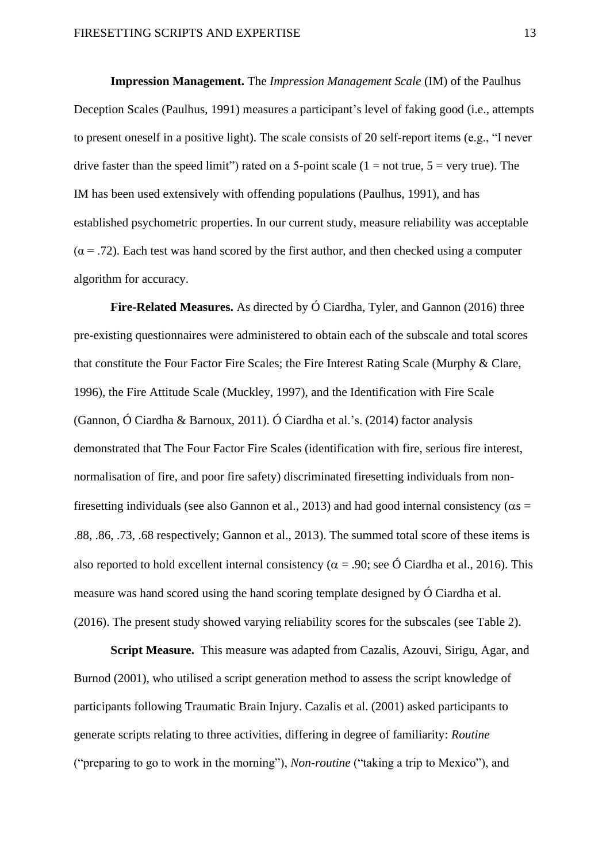**Impression Management.** The *Impression Management Scale* (IM) of the Paulhus Deception Scales (Paulhus, 1991) measures a participant's level of faking good (i.e., attempts to present oneself in a positive light). The scale consists of 20 self-report items (e.g., "I never drive faster than the speed limit") rated on a 5-point scale ( $1 = not$  true,  $5 = very$  true). The IM has been used extensively with offending populations (Paulhus, 1991), and has established psychometric properties. In our current study, measure reliability was acceptable  $(\alpha = .72)$ . Each test was hand scored by the first author, and then checked using a computer algorithm for accuracy.

**Fire-Related Measures.** As directed by Ó Ciardha, Tyler, and Gannon (2016) three pre-existing questionnaires were administered to obtain each of the subscale and total scores that constitute the Four Factor Fire Scales; the Fire Interest Rating Scale (Murphy & Clare, 1996), the Fire Attitude Scale (Muckley, 1997), and the Identification with Fire Scale (Gannon, Ó Ciardha & Barnoux, 2011). Ó Ciardha et al.'s. (2014) factor analysis demonstrated that The Four Factor Fire Scales (identification with fire, serious fire interest, normalisation of fire, and poor fire safety) discriminated firesetting individuals from nonfiresetting individuals (see also Gannon et al., 2013) and had good internal consistency ( $\alpha s$  = .88, .86, .73, .68 respectively; Gannon et al., 2013). The summed total score of these items is also reported to hold excellent internal consistency ( $\alpha$  = .90; see Ó Ciardha et al., 2016). This measure was hand scored using the hand scoring template designed by Ó Ciardha et al. (2016). The present study showed varying reliability scores for the subscales (see Table 2).

**Script Measure.** This measure was adapted from Cazalis, Azouvi, Sirigu, Agar, and Burnod (2001), who utilised a script generation method to assess the script knowledge of participants following Traumatic Brain Injury. Cazalis et al. (2001) asked participants to generate scripts relating to three activities, differing in degree of familiarity: *Routine*  ("preparing to go to work in the morning"), *Non-routine* ("taking a trip to Mexico"), and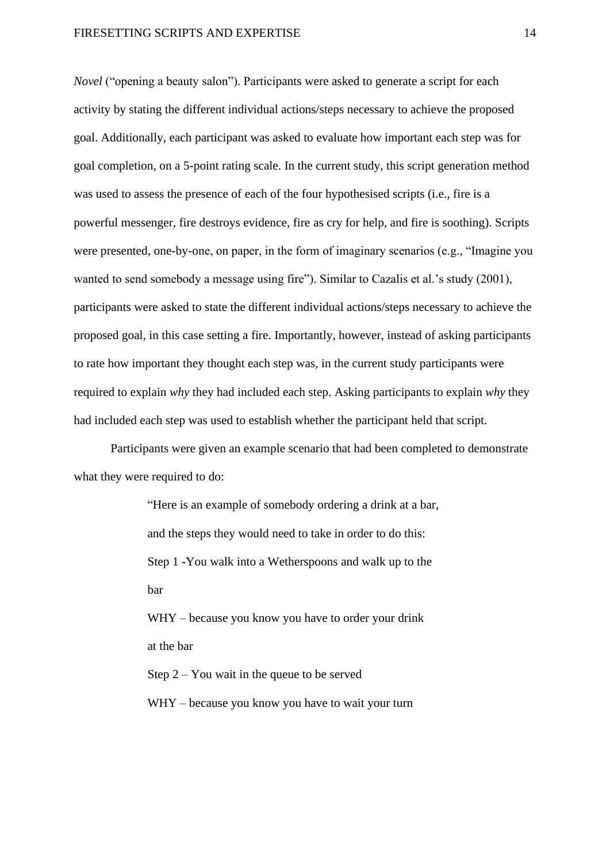#### FIRESETTING SCRIPTS AND EXPERTISE 14

*Novel* ("opening a beauty salon"). Participants were asked to generate a script for each activity by stating the different individual actions/steps necessary to achieve the proposed goal. Additionally, each participant was asked to evaluate how important each step was for goal completion, on a 5-point rating scale. In the current study, this script generation method was used to assess the presence of each of the four hypothesised scripts (i.e., fire is a powerful messenger, fire destroys evidence, fire as cry for help, and fire is soothing). Scripts were presented, one-by-one, on paper, in the form of imaginary scenarios (e.g., "Imagine you wanted to send somebody a message using fire"). Similar to Cazalis et al.'s study (2001), participants were asked to state the different individual actions/steps necessary to achieve the proposed goal, in this case setting a fire. Importantly, however, instead of asking participants to rate how important they thought each step was, in the current study participants were required to explain *why* they had included each step. Asking participants to explain *why* they had included each step was used to establish whether the participant held that script.

Participants were given an example scenario that had been completed to demonstrate what they were required to do:

> "Here is an example of somebody ordering a drink at a bar, and the steps they would need to take in order to do this: Step 1 -You walk into a Wetherspoons and walk up to the bar WHY – because you know you have to order your drink

at the bar

Step 2 – You wait in the queue to be served WHY – because you know you have to wait your turn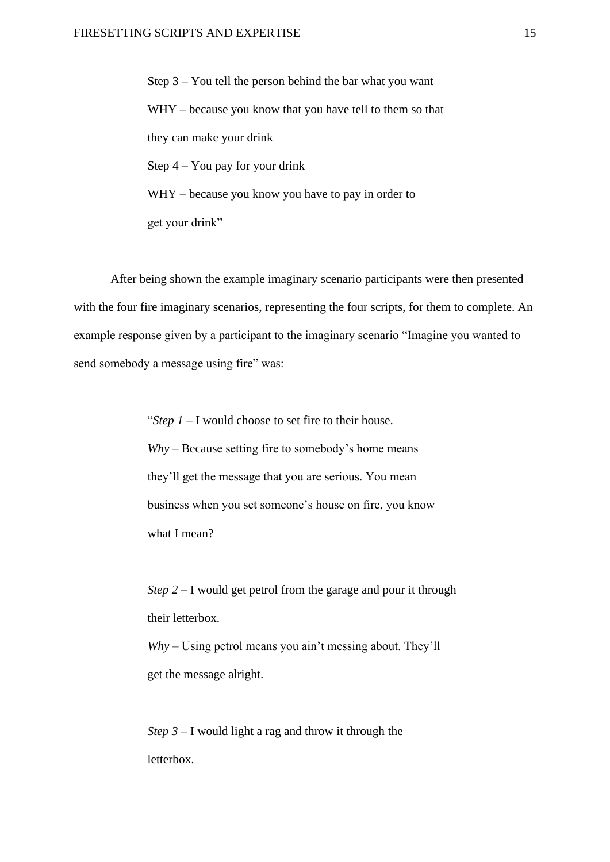Step 3 – You tell the person behind the bar what you want WHY – because you know that you have tell to them so that they can make your drink Step 4 – You pay for your drink WHY – because you know you have to pay in order to get your drink"

After being shown the example imaginary scenario participants were then presented with the four fire imaginary scenarios, representing the four scripts, for them to complete. An example response given by a participant to the imaginary scenario "Imagine you wanted to send somebody a message using fire" was:

> "*Step 1* – I would choose to set fire to their house. *Why* – Because setting fire to somebody's home means they'll get the message that you are serious. You mean business when you set someone's house on fire, you know what I mean?

*Step 2 –* I would get petrol from the garage and pour it through their letterbox.

*Why –* Using petrol means you ain't messing about. They'll get the message alright.

*Step 3* – I would light a rag and throw it through the letterbox.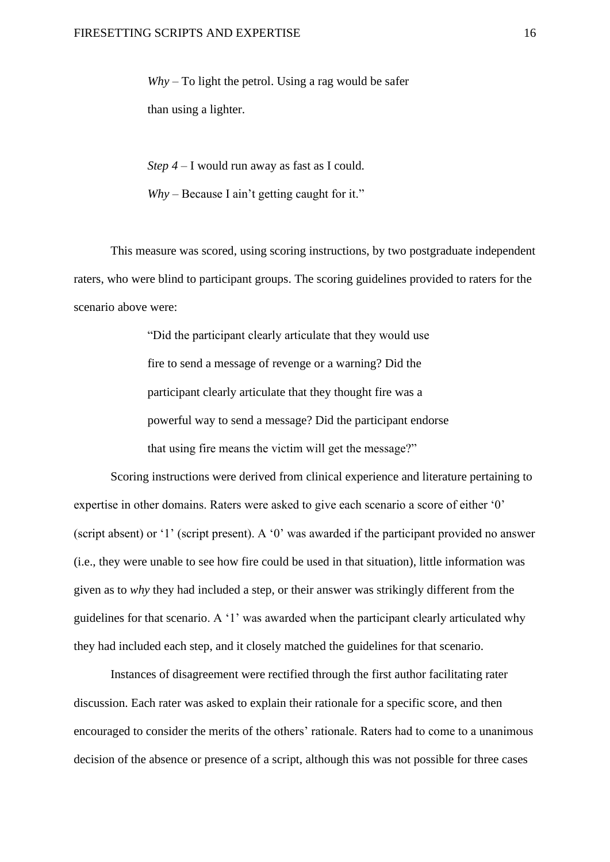*Why –* To light the petrol. Using a rag would be safer than using a lighter.

*Step 4 –* I would run away as fast as I could.

*Why –* Because I ain't getting caught for it."

This measure was scored, using scoring instructions, by two postgraduate independent raters, who were blind to participant groups. The scoring guidelines provided to raters for the scenario above were:

> "Did the participant clearly articulate that they would use fire to send a message of revenge or a warning? Did the participant clearly articulate that they thought fire was a powerful way to send a message? Did the participant endorse that using fire means the victim will get the message?"

Scoring instructions were derived from clinical experience and literature pertaining to expertise in other domains. Raters were asked to give each scenario a score of either '0' (script absent) or '1' (script present). A '0' was awarded if the participant provided no answer (i.e., they were unable to see how fire could be used in that situation), little information was given as to *why* they had included a step, or their answer was strikingly different from the guidelines for that scenario. A '1' was awarded when the participant clearly articulated why they had included each step, and it closely matched the guidelines for that scenario.

Instances of disagreement were rectified through the first author facilitating rater discussion. Each rater was asked to explain their rationale for a specific score, and then encouraged to consider the merits of the others' rationale. Raters had to come to a unanimous decision of the absence or presence of a script, although this was not possible for three cases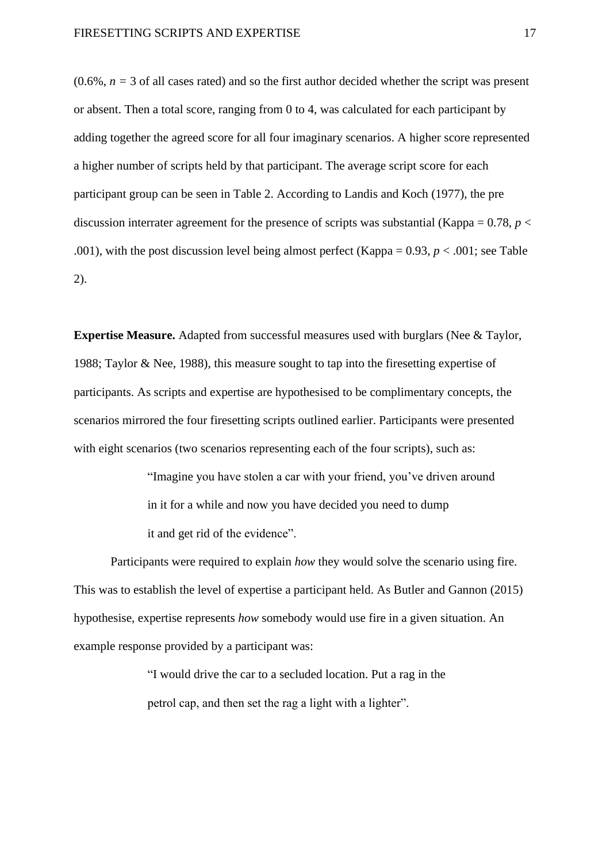$(0.6\%, n = 3 \text{ of all cases rated})$  and so the first author decided whether the script was present or absent. Then a total score, ranging from 0 to 4, was calculated for each participant by adding together the agreed score for all four imaginary scenarios. A higher score represented a higher number of scripts held by that participant. The average script score for each participant group can be seen in Table 2. According to Landis and Koch (1977), the pre discussion interrater agreement for the presence of scripts was substantial (Kappa =  $0.78$ , *p* < .001), with the post discussion level being almost perfect (Kappa =  $0.93$ ,  $p < .001$ ; see Table 2).

**Expertise Measure.** Adapted from successful measures used with burglars (Nee & Taylor, 1988; Taylor & Nee, 1988), this measure sought to tap into the firesetting expertise of participants. As scripts and expertise are hypothesised to be complimentary concepts, the scenarios mirrored the four firesetting scripts outlined earlier. Participants were presented with eight scenarios (two scenarios representing each of the four scripts), such as:

> "Imagine you have stolen a car with your friend, you've driven around in it for a while and now you have decided you need to dump it and get rid of the evidence".

Participants were required to explain *how* they would solve the scenario using fire. This was to establish the level of expertise a participant held. As Butler and Gannon (2015) hypothesise, expertise represents *how* somebody would use fire in a given situation. An example response provided by a participant was:

> "I would drive the car to a secluded location. Put a rag in the petrol cap, and then set the rag a light with a lighter".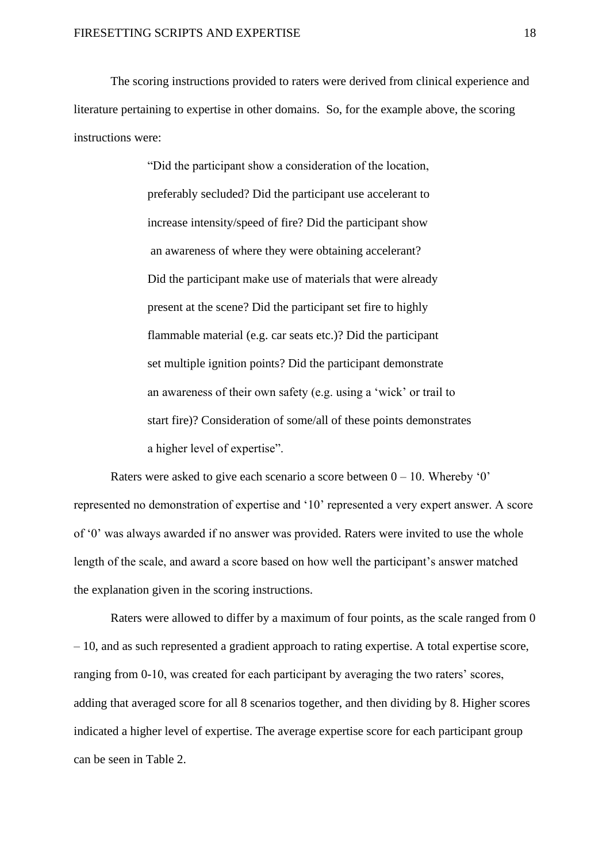The scoring instructions provided to raters were derived from clinical experience and literature pertaining to expertise in other domains. So, for the example above, the scoring instructions were:

> "Did the participant show a consideration of the location, preferably secluded? Did the participant use accelerant to increase intensity/speed of fire? Did the participant show an awareness of where they were obtaining accelerant? Did the participant make use of materials that were already present at the scene? Did the participant set fire to highly flammable material (e.g. car seats etc.)? Did the participant set multiple ignition points? Did the participant demonstrate an awareness of their own safety (e.g. using a 'wick' or trail to start fire)? Consideration of some/all of these points demonstrates a higher level of expertise".

Raters were asked to give each scenario a score between  $0 - 10$ . Whereby '0' represented no demonstration of expertise and '10' represented a very expert answer. A score of '0' was always awarded if no answer was provided. Raters were invited to use the whole length of the scale, and award a score based on how well the participant's answer matched the explanation given in the scoring instructions.

Raters were allowed to differ by a maximum of four points, as the scale ranged from 0 – 10, and as such represented a gradient approach to rating expertise. A total expertise score, ranging from 0-10, was created for each participant by averaging the two raters' scores, adding that averaged score for all 8 scenarios together, and then dividing by 8. Higher scores indicated a higher level of expertise. The average expertise score for each participant group can be seen in Table 2.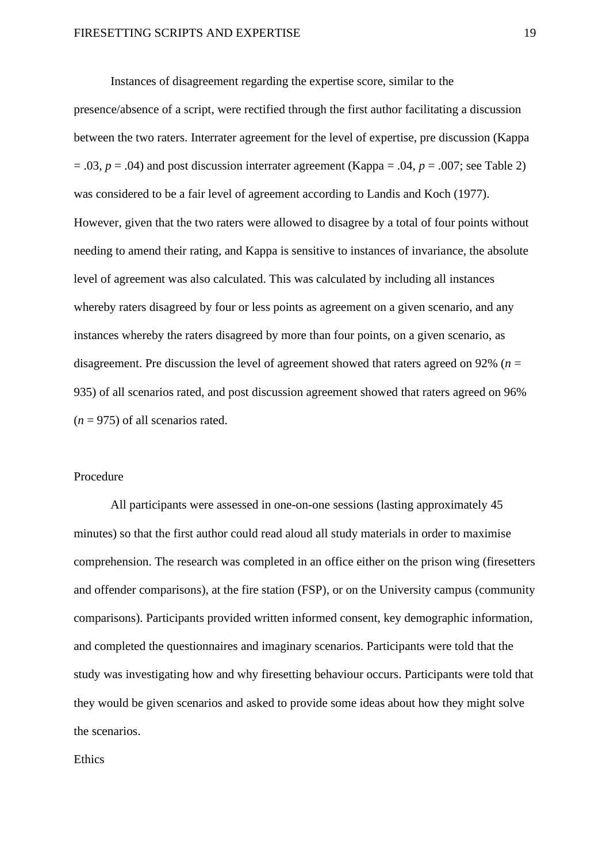Instances of disagreement regarding the expertise score, similar to the presence/absence of a script, were rectified through the first author facilitating a discussion between the two raters. Interrater agreement for the level of expertise, pre discussion (Kappa  $= .03$ ,  $p = .04$ ) and post discussion interrater agreement (Kappa = .04,  $p = .007$ ; see Table 2) was considered to be a fair level of agreement according to Landis and Koch (1977). However, given that the two raters were allowed to disagree by a total of four points without needing to amend their rating, and Kappa is sensitive to instances of invariance, the absolute level of agreement was also calculated. This was calculated by including all instances whereby raters disagreed by four or less points as agreement on a given scenario, and any instances whereby the raters disagreed by more than four points, on a given scenario, as disagreement. Pre discussion the level of agreement showed that raters agreed on 92% (*n* = 935) of all scenarios rated, and post discussion agreement showed that raters agreed on 96%  $(n = 975)$  of all scenarios rated.

#### Procedure

All participants were assessed in one-on-one sessions (lasting approximately 45 minutes) so that the first author could read aloud all study materials in order to maximise comprehension. The research was completed in an office either on the prison wing (firesetters and offender comparisons), at the fire station (FSP), or on the University campus (community comparisons). Participants provided written informed consent, key demographic information, and completed the questionnaires and imaginary scenarios. Participants were told that the study was investigating how and why firesetting behaviour occurs. Participants were told that they would be given scenarios and asked to provide some ideas about how they might solve the scenarios.

#### Ethics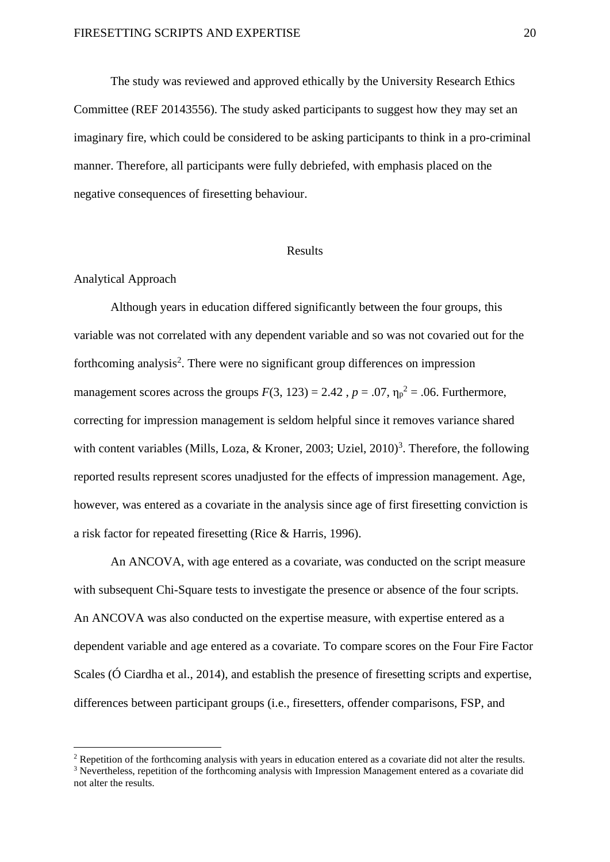The study was reviewed and approved ethically by the University Research Ethics Committee (REF 20143556). The study asked participants to suggest how they may set an imaginary fire, which could be considered to be asking participants to think in a pro-criminal manner. Therefore, all participants were fully debriefed, with emphasis placed on the negative consequences of firesetting behaviour.

#### Results

#### Analytical Approach

Although years in education differed significantly between the four groups, this variable was not correlated with any dependent variable and so was not covaried out for the forthcoming analysis<sup>2</sup>. There were no significant group differences on impression management scores across the groups  $F(3, 123) = 2.42$ ,  $p = .07$ ,  $\eta_p^2 = .06$ . Furthermore, correcting for impression management is seldom helpful since it removes variance shared with content variables (Mills, Loza, & Kroner, 2003; Uziel,  $2010$ <sup>3</sup>. Therefore, the following reported results represent scores unadjusted for the effects of impression management. Age, however, was entered as a covariate in the analysis since age of first firesetting conviction is a risk factor for repeated firesetting (Rice & Harris, 1996).

An ANCOVA, with age entered as a covariate, was conducted on the script measure with subsequent Chi-Square tests to investigate the presence or absence of the four scripts. An ANCOVA was also conducted on the expertise measure, with expertise entered as a dependent variable and age entered as a covariate. To compare scores on the Four Fire Factor Scales (Ó Ciardha et al., 2014), and establish the presence of firesetting scripts and expertise, differences between participant groups (i.e., firesetters, offender comparisons, FSP, and

<sup>&</sup>lt;sup>2</sup> Repetition of the forthcoming analysis with years in education entered as a covariate did not alter the results. <sup>3</sup> Nevertheless, repetition of the forthcoming analysis with Impression Management entered as a covariate did not alter the results.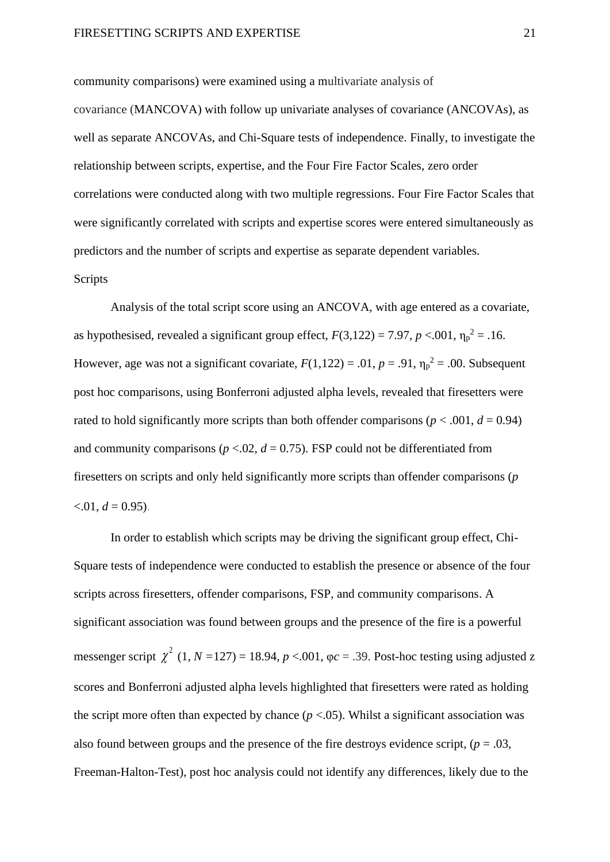community comparisons) were examined using a multivariate analysis of

covariance (MANCOVA) with follow up univariate analyses of covariance (ANCOVAs), as well as separate ANCOVAs, and Chi-Square tests of independence. Finally, to investigate the relationship between scripts, expertise, and the Four Fire Factor Scales, zero order correlations were conducted along with two multiple regressions. Four Fire Factor Scales that were significantly correlated with scripts and expertise scores were entered simultaneously as predictors and the number of scripts and expertise as separate dependent variables. Scripts

Analysis of the total script score using an ANCOVA, with age entered as a covariate, as hypothesised, revealed a significant group effect,  $F(3,122) = 7.97$ ,  $p < .001$ ,  $\eta_p^2 = .16$ . However, age was not a significant covariate,  $F(1,122) = .01$ ,  $p = .91$ ,  $\eta_p^2 = .00$ . Subsequent post hoc comparisons, using Bonferroni adjusted alpha levels, revealed that firesetters were rated to hold significantly more scripts than both offender comparisons ( $p < .001$ ,  $d = 0.94$ ) and community comparisons ( $p < 0.02$ ,  $d = 0.75$ ). FSP could not be differentiated from firesetters on scripts and only held significantly more scripts than offender comparisons (*p*   $< 0.01, d = 0.95$ .

In order to establish which scripts may be driving the significant group effect, Chi-Square tests of independence were conducted to establish the presence or absence of the four scripts across firesetters, offender comparisons, FSP, and community comparisons. A significant association was found between groups and the presence of the fire is a powerful messenger script  $\chi^2$  (1, *N* = 127) = 18.94, *p* <.001,  $\varphi c = 0.39$ . Post-hoc testing using adjusted z scores and Bonferroni adjusted alpha levels highlighted that firesetters were rated as holding the script more often than expected by chance  $(p < .05)$ . Whilst a significant association was also found between groups and the presence of the fire destroys evidence script,  $(p = .03, )$ Freeman-Halton-Test), post hoc analysis could not identify any differences, likely due to the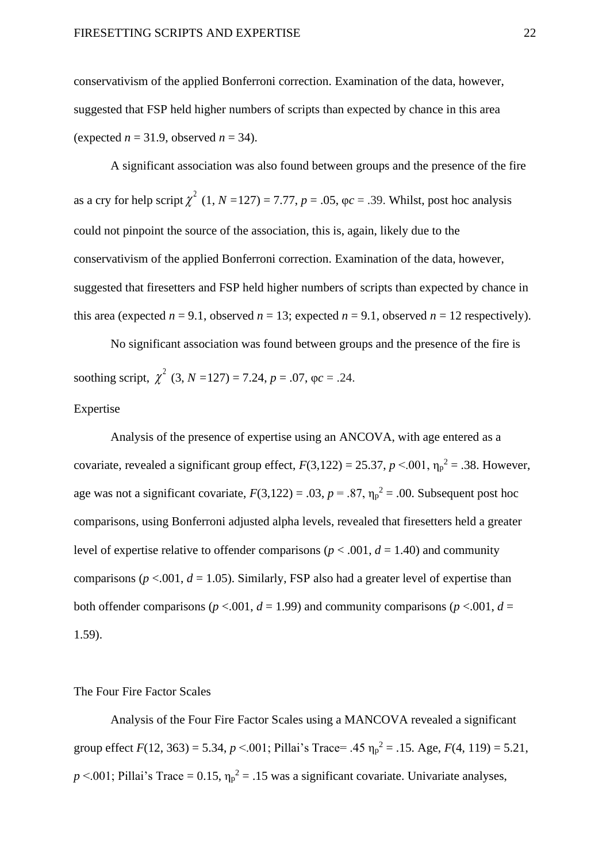conservativism of the applied Bonferroni correction. Examination of the data, however, suggested that FSP held higher numbers of scripts than expected by chance in this area (expected  $n = 31.9$ , observed  $n = 34$ ).

A significant association was also found between groups and the presence of the fire as a cry for help script  $\chi^2$  (1, *N* = 127) = 7.77, *p* = .05,  $\varphi c$  = .39. Whilst, post hoc analysis could not pinpoint the source of the association, this is, again, likely due to the conservativism of the applied Bonferroni correction. Examination of the data, however, suggested that firesetters and FSP held higher numbers of scripts than expected by chance in this area (expected  $n = 9.1$ , observed  $n = 13$ ; expected  $n = 9.1$ , observed  $n = 12$  respectively).

No significant association was found between groups and the presence of the fire is soothing script,  $\chi^2$  (3, *N* = 127) = 7.24, *p* = .07,  $\varphi c = .24$ . Expertise

Analysis of the presence of expertise using an ANCOVA, with age entered as a covariate, revealed a significant group effect,  $F(3,122) = 25.37$ ,  $p < .001$ ,  $\eta_p^2 = .38$ . However, age was not a significant covariate,  $F(3,122) = .03$ ,  $p = .87$ ,  $\eta_p^2 = .00$ . Subsequent post hoc comparisons, using Bonferroni adjusted alpha levels, revealed that firesetters held a greater level of expertise relative to offender comparisons ( $p < .001$ ,  $d = 1.40$ ) and community comparisons ( $p < .001$ ,  $d = 1.05$ ). Similarly, FSP also had a greater level of expertise than both offender comparisons ( $p < .001$ ,  $d = 1.99$ ) and community comparisons ( $p < .001$ ,  $d =$ 1.59).

#### The Four Fire Factor Scales

Analysis of the Four Fire Factor Scales using a MANCOVA revealed a significant group effect  $F(12, 363) = 5.34$ ,  $p < .001$ ; Pillai's Trace= .45  $\eta_p^2 = .15$ . Age,  $F(4, 119) = 5.21$ ,  $p \le 0.001$ ; Pillai's Trace = 0.15,  $\eta_p^2$  = .15 was a significant covariate. Univariate analyses,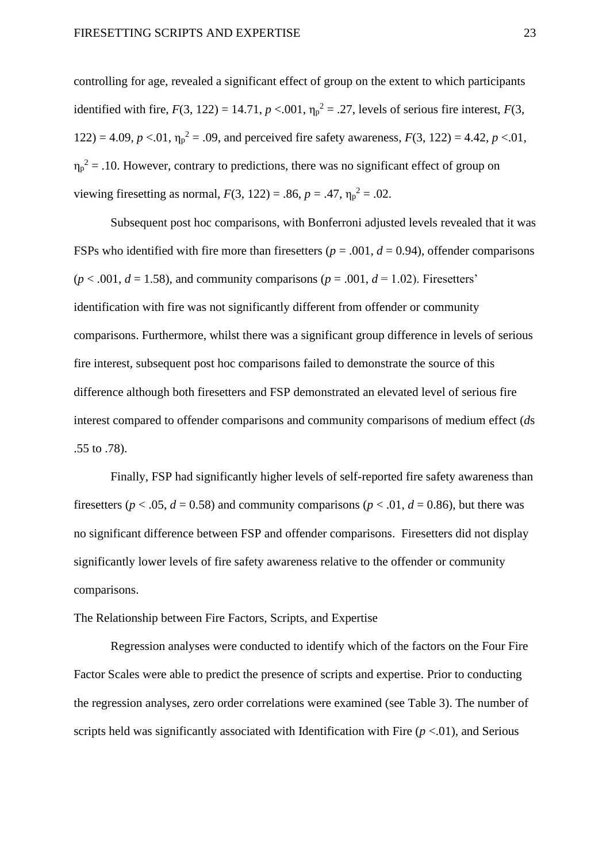controlling for age, revealed a significant effect of group on the extent to which participants identified with fire,  $F(3, 122) = 14.71$ ,  $p < .001$ ,  $\eta_p^2 = .27$ , levels of serious fire interest,  $F(3, 122) = 14.71$ ,  $p < .001$ ,  $\eta_p^2 = .27$ , levels of serious fire interest,  $F(3, 122) = .001$ 122) = 4.09,  $p < 0.01$ ,  $\eta_p^2 = 0.09$ , and perceived fire safety awareness,  $F(3, 122) = 4.42$ ,  $p < 0.01$ ,  $\eta_p^2$  = .10. However, contrary to predictions, there was no significant effect of group on viewing firesetting as normal,  $F(3, 122) = .86$ ,  $p = .47$ ,  $\eta_p^2 = .02$ .

Subsequent post hoc comparisons, with Bonferroni adjusted levels revealed that it was FSPs who identified with fire more than fire setters ( $p = .001$ ,  $d = 0.94$ ), offender comparisons  $(p < .001, d = 1.58)$ , and community comparisons  $(p = .001, d = 1.02)$ . Firesetters' identification with fire was not significantly different from offender or community comparisons. Furthermore, whilst there was a significant group difference in levels of serious fire interest, subsequent post hoc comparisons failed to demonstrate the source of this difference although both firesetters and FSP demonstrated an elevated level of serious fire interest compared to offender comparisons and community comparisons of medium effect (*d*s .55 to .78).

Finally, FSP had significantly higher levels of self-reported fire safety awareness than firesetters ( $p < .05$ ,  $d = 0.58$ ) and community comparisons ( $p < .01$ ,  $d = 0.86$ ), but there was no significant difference between FSP and offender comparisons. Firesetters did not display significantly lower levels of fire safety awareness relative to the offender or community comparisons.

The Relationship between Fire Factors, Scripts, and Expertise

Regression analyses were conducted to identify which of the factors on the Four Fire Factor Scales were able to predict the presence of scripts and expertise. Prior to conducting the regression analyses, zero order correlations were examined (see Table 3). The number of scripts held was significantly associated with Identification with Fire  $(p < 0.01)$ , and Serious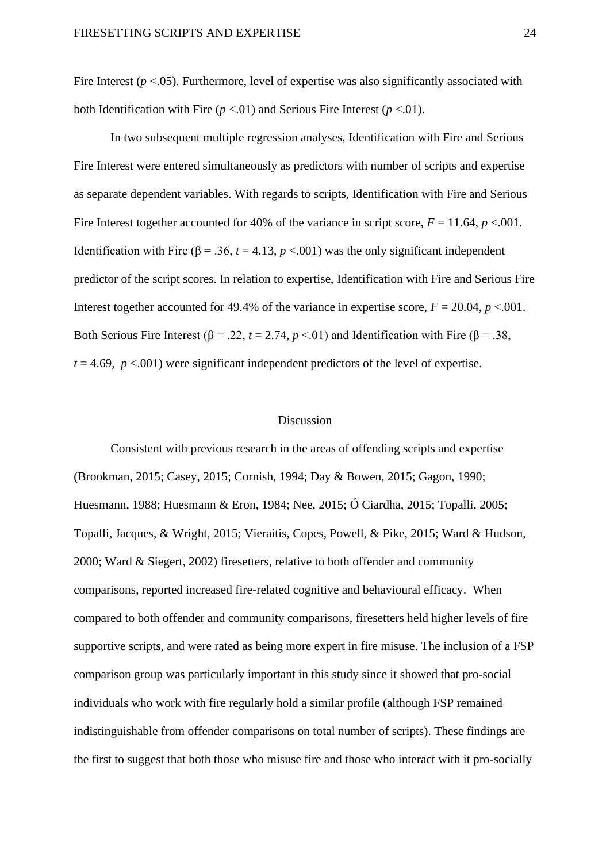Fire Interest  $(p < .05)$ . Furthermore, level of expertise was also significantly associated with both Identification with Fire  $(p < 0.01)$  and Serious Fire Interest  $(p < 0.01)$ .

In two subsequent multiple regression analyses, Identification with Fire and Serious Fire Interest were entered simultaneously as predictors with number of scripts and expertise as separate dependent variables. With regards to scripts, Identification with Fire and Serious Fire Interest together accounted for 40% of the variance in script score,  $F = 11.64$ ,  $p < .001$ . Identification with Fire (β = .36,  $t = 4.13$ ,  $p < .001$ ) was the only significant independent predictor of the script scores. In relation to expertise, Identification with Fire and Serious Fire Interest together accounted for 49.4% of the variance in expertise score,  $F = 20.04$ ,  $p < .001$ . Both Serious Fire Interest ( $\beta$  = .22,  $t$  = 2.74,  $p$  <.01) and Identification with Fire ( $\beta$  = .38,  $t = 4.69$ ,  $p < .001$ ) were significant independent predictors of the level of expertise.

#### Discussion

Consistent with previous research in the areas of offending scripts and expertise (Brookman, 2015; Casey, 2015; Cornish, 1994; Day & Bowen, 2015; Gagon, 1990; Huesmann, 1988; Huesmann & Eron, 1984; Nee, 2015; Ó Ciardha, 2015; Topalli, 2005; Topalli, Jacques, & Wright, 2015; Vieraitis, Copes, Powell, & Pike, 2015; Ward & Hudson, 2000; Ward & Siegert, 2002) firesetters, relative to both offender and community comparisons, reported increased fire-related cognitive and behavioural efficacy. When compared to both offender and community comparisons, firesetters held higher levels of fire supportive scripts, and were rated as being more expert in fire misuse. The inclusion of a FSP comparison group was particularly important in this study since it showed that pro-social individuals who work with fire regularly hold a similar profile (although FSP remained indistinguishable from offender comparisons on total number of scripts). These findings are the first to suggest that both those who misuse fire and those who interact with it pro-socially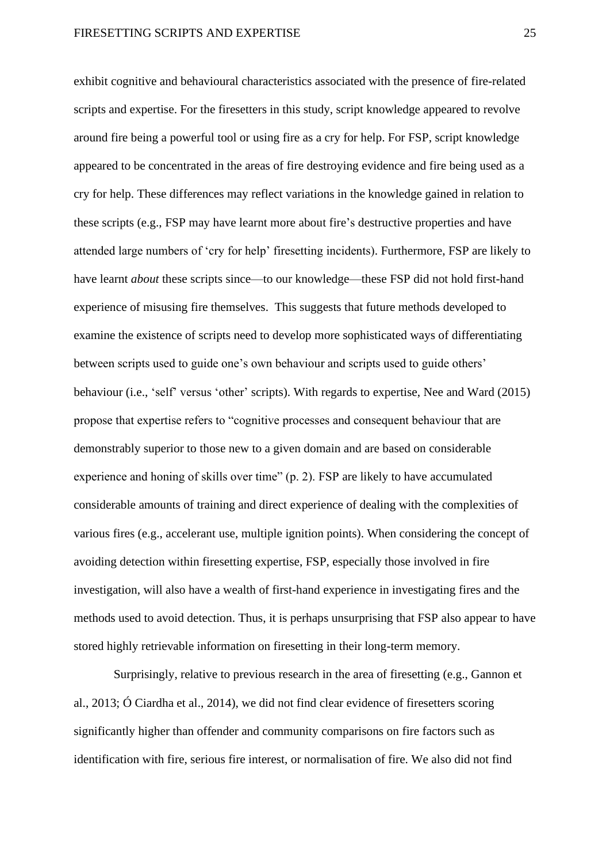exhibit cognitive and behavioural characteristics associated with the presence of fire-related scripts and expertise. For the firesetters in this study, script knowledge appeared to revolve around fire being a powerful tool or using fire as a cry for help. For FSP, script knowledge appeared to be concentrated in the areas of fire destroying evidence and fire being used as a cry for help. These differences may reflect variations in the knowledge gained in relation to these scripts (e.g., FSP may have learnt more about fire's destructive properties and have attended large numbers of 'cry for help' firesetting incidents). Furthermore, FSP are likely to have learnt *about* these scripts since—to our knowledge—these FSP did not hold first-hand experience of misusing fire themselves. This suggests that future methods developed to examine the existence of scripts need to develop more sophisticated ways of differentiating between scripts used to guide one's own behaviour and scripts used to guide others' behaviour (i.e., 'self' versus 'other' scripts). With regards to expertise, Nee and Ward (2015) propose that expertise refers to "cognitive processes and consequent behaviour that are demonstrably superior to those new to a given domain and are based on considerable experience and honing of skills over time" (p. 2). FSP are likely to have accumulated considerable amounts of training and direct experience of dealing with the complexities of various fires (e.g., accelerant use, multiple ignition points). When considering the concept of avoiding detection within firesetting expertise, FSP, especially those involved in fire investigation, will also have a wealth of first-hand experience in investigating fires and the methods used to avoid detection. Thus, it is perhaps unsurprising that FSP also appear to have stored highly retrievable information on firesetting in their long-term memory.

Surprisingly, relative to previous research in the area of firesetting (e.g., Gannon et al., 2013; Ó Ciardha et al., 2014), we did not find clear evidence of firesetters scoring significantly higher than offender and community comparisons on fire factors such as identification with fire, serious fire interest, or normalisation of fire. We also did not find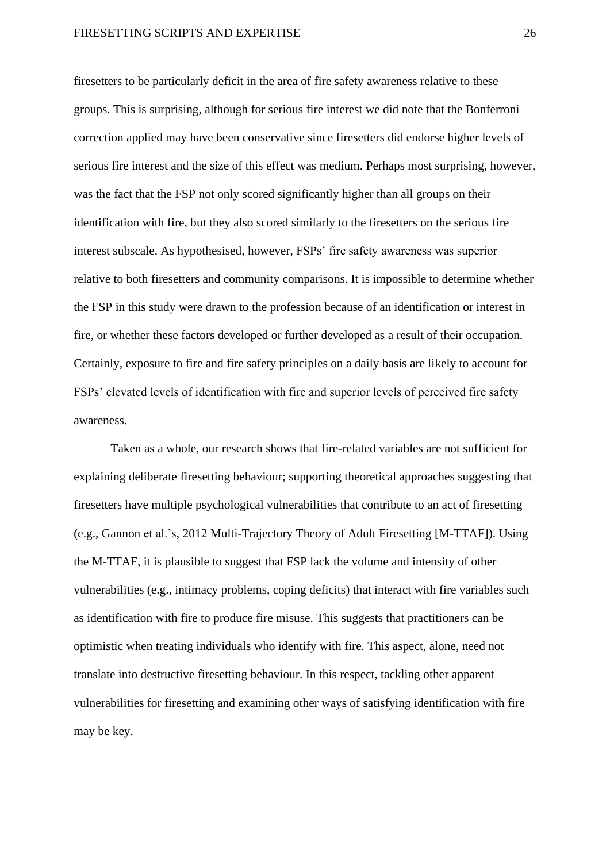#### FIRESETTING SCRIPTS AND EXPERTISE 26

firesetters to be particularly deficit in the area of fire safety awareness relative to these groups. This is surprising, although for serious fire interest we did note that the Bonferroni correction applied may have been conservative since firesetters did endorse higher levels of serious fire interest and the size of this effect was medium. Perhaps most surprising, however, was the fact that the FSP not only scored significantly higher than all groups on their identification with fire, but they also scored similarly to the firesetters on the serious fire interest subscale. As hypothesised, however, FSPs' fire safety awareness was superior relative to both firesetters and community comparisons. It is impossible to determine whether the FSP in this study were drawn to the profession because of an identification or interest in fire, or whether these factors developed or further developed as a result of their occupation. Certainly, exposure to fire and fire safety principles on a daily basis are likely to account for FSPs' elevated levels of identification with fire and superior levels of perceived fire safety awareness.

Taken as a whole, our research shows that fire-related variables are not sufficient for explaining deliberate firesetting behaviour; supporting theoretical approaches suggesting that firesetters have multiple psychological vulnerabilities that contribute to an act of firesetting (e.g., Gannon et al.'s, 2012 Multi-Trajectory Theory of Adult Firesetting [M-TTAF]). Using the M-TTAF, it is plausible to suggest that FSP lack the volume and intensity of other vulnerabilities (e.g., intimacy problems, coping deficits) that interact with fire variables such as identification with fire to produce fire misuse. This suggests that practitioners can be optimistic when treating individuals who identify with fire. This aspect, alone, need not translate into destructive firesetting behaviour. In this respect, tackling other apparent vulnerabilities for firesetting and examining other ways of satisfying identification with fire may be key.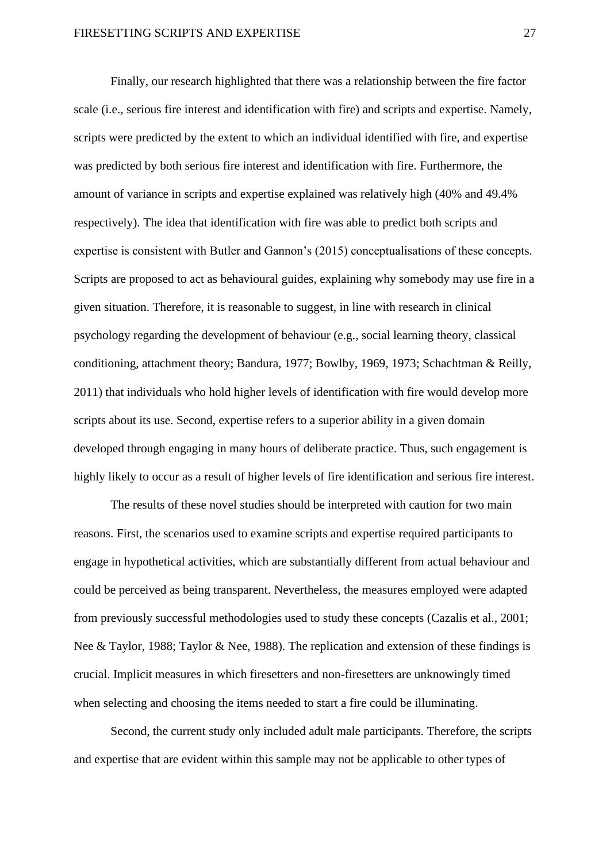Finally, our research highlighted that there was a relationship between the fire factor scale (i.e., serious fire interest and identification with fire) and scripts and expertise. Namely, scripts were predicted by the extent to which an individual identified with fire, and expertise was predicted by both serious fire interest and identification with fire. Furthermore, the amount of variance in scripts and expertise explained was relatively high (40% and 49.4% respectively). The idea that identification with fire was able to predict both scripts and expertise is consistent with Butler and Gannon's (2015) conceptualisations of these concepts. Scripts are proposed to act as behavioural guides, explaining why somebody may use fire in a given situation. Therefore, it is reasonable to suggest, in line with research in clinical psychology regarding the development of behaviour (e.g., social learning theory, classical conditioning, attachment theory; Bandura, 1977; Bowlby, 1969, 1973; Schachtman & Reilly, 2011) that individuals who hold higher levels of identification with fire would develop more scripts about its use. Second, expertise refers to a superior ability in a given domain developed through engaging in many hours of deliberate practice. Thus, such engagement is highly likely to occur as a result of higher levels of fire identification and serious fire interest.

The results of these novel studies should be interpreted with caution for two main reasons. First, the scenarios used to examine scripts and expertise required participants to engage in hypothetical activities, which are substantially different from actual behaviour and could be perceived as being transparent. Nevertheless, the measures employed were adapted from previously successful methodologies used to study these concepts (Cazalis et al., 2001; Nee & Taylor, 1988; Taylor & Nee, 1988). The replication and extension of these findings is crucial. Implicit measures in which firesetters and non-firesetters are unknowingly timed when selecting and choosing the items needed to start a fire could be illuminating.

Second, the current study only included adult male participants. Therefore, the scripts and expertise that are evident within this sample may not be applicable to other types of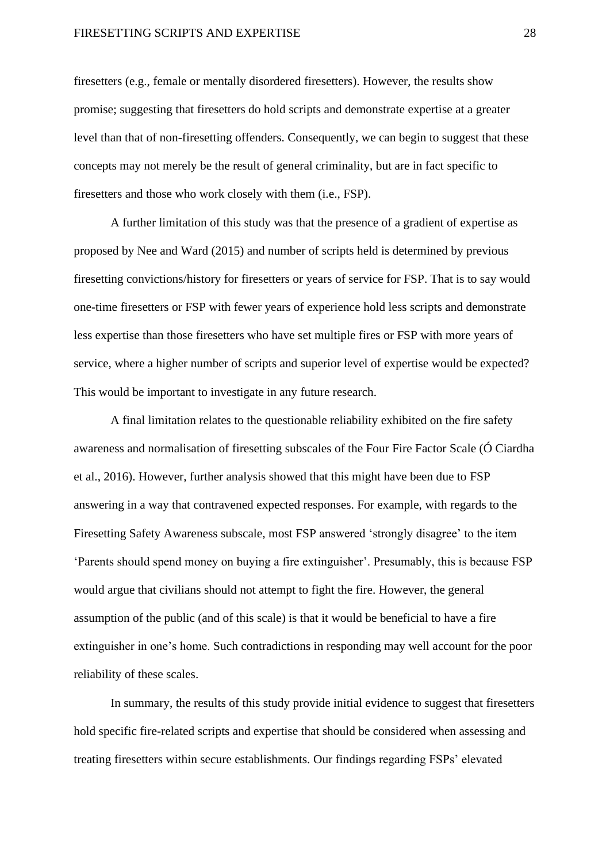#### FIRESETTING SCRIPTS AND EXPERTISE 28

firesetters (e.g., female or mentally disordered firesetters). However, the results show promise; suggesting that firesetters do hold scripts and demonstrate expertise at a greater level than that of non-firesetting offenders. Consequently, we can begin to suggest that these concepts may not merely be the result of general criminality, but are in fact specific to firesetters and those who work closely with them (i.e., FSP).

A further limitation of this study was that the presence of a gradient of expertise as proposed by Nee and Ward (2015) and number of scripts held is determined by previous firesetting convictions/history for firesetters or years of service for FSP. That is to say would one-time firesetters or FSP with fewer years of experience hold less scripts and demonstrate less expertise than those firesetters who have set multiple fires or FSP with more years of service, where a higher number of scripts and superior level of expertise would be expected? This would be important to investigate in any future research.

A final limitation relates to the questionable reliability exhibited on the fire safety awareness and normalisation of firesetting subscales of the Four Fire Factor Scale (Ó Ciardha et al., 2016). However, further analysis showed that this might have been due to FSP answering in a way that contravened expected responses. For example, with regards to the Firesetting Safety Awareness subscale, most FSP answered 'strongly disagree' to the item 'Parents should spend money on buying a fire extinguisher'. Presumably, this is because FSP would argue that civilians should not attempt to fight the fire. However, the general assumption of the public (and of this scale) is that it would be beneficial to have a fire extinguisher in one's home. Such contradictions in responding may well account for the poor reliability of these scales.

In summary, the results of this study provide initial evidence to suggest that firesetters hold specific fire-related scripts and expertise that should be considered when assessing and treating firesetters within secure establishments. Our findings regarding FSPs' elevated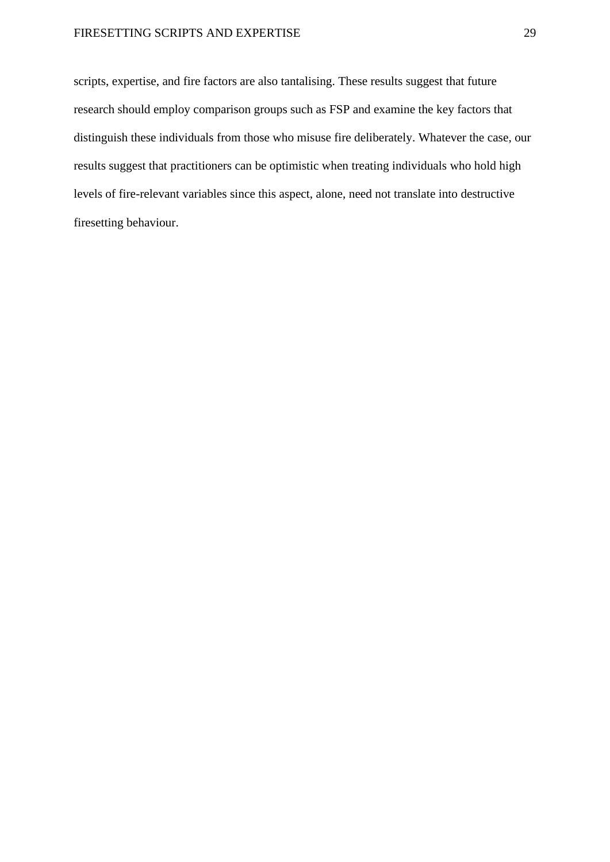#### FIRESETTING SCRIPTS AND EXPERTISE 29

scripts, expertise, and fire factors are also tantalising. These results suggest that future research should employ comparison groups such as FSP and examine the key factors that distinguish these individuals from those who misuse fire deliberately. Whatever the case, our results suggest that practitioners can be optimistic when treating individuals who hold high levels of fire-relevant variables since this aspect, alone, need not translate into destructive firesetting behaviour.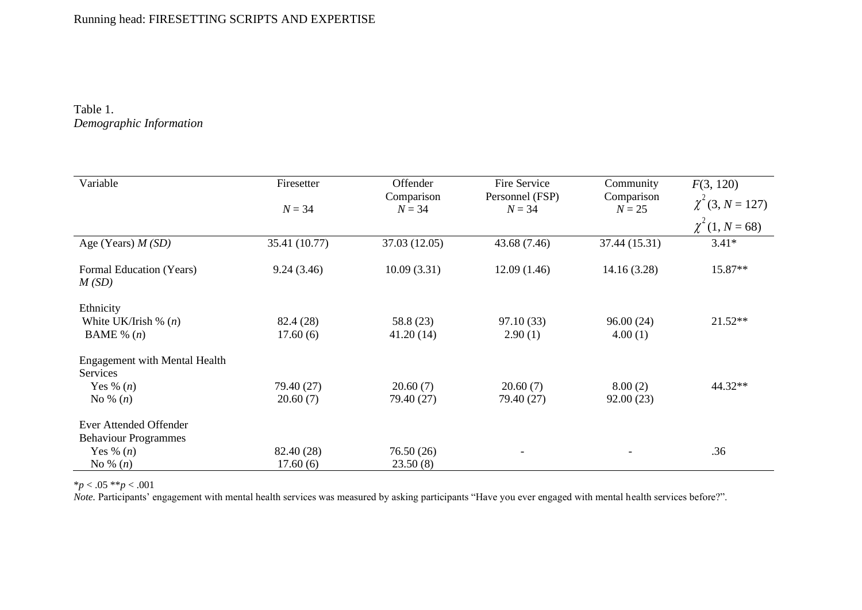### Running head: FIRESETTING SCRIPTS AND EXPERTISE

#### Table 1. *Demographic Information*

| Variable                             | Firesetter    | Offender      | Fire Service    | Community     | F(3, 120)             |
|--------------------------------------|---------------|---------------|-----------------|---------------|-----------------------|
|                                      |               | Comparison    | Personnel (FSP) | Comparison    | $\chi^2$ (3, N = 127) |
|                                      | $N = 34$      | $N = 34$      | $N = 34$        | $N = 25$      |                       |
|                                      |               |               |                 |               | $\chi^2(1, N=68)$     |
| Age (Years) $M(SD)$                  | 35.41 (10.77) | 37.03 (12.05) | 43.68 (7.46)    | 37.44 (15.31) | $3.41*$               |
| Formal Education (Years)<br>M(SD)    | 9.24(3.46)    | 10.09(3.31)   | 12.09(1.46)     | 14.16(3.28)   | 15.87**               |
| Ethnicity                            |               |               |                 |               |                       |
| White UK/Irish $\%$ ( <i>n</i> )     | 82.4 (28)     | 58.8 (23)     | 97.10(33)       | 96.00(24)     | $21.52**$             |
| BAME % $(n)$                         | 17.60(6)      | 41.20(14)     | 2.90(1)         | 4.00(1)       |                       |
| <b>Engagement with Mental Health</b> |               |               |                 |               |                       |
| Services                             |               |               |                 |               |                       |
| Yes % $(n)$                          | 79.40 (27)    | 20.60(7)      | 20.60(7)        | 8.00(2)       | 44.32**               |
| No % $(n)$                           | 20.60(7)      | 79.40 (27)    | 79.40 (27)      | 92.00(23)     |                       |
| Ever Attended Offender               |               |               |                 |               |                       |
| <b>Behaviour Programmes</b>          |               |               |                 |               |                       |
| Yes % $(n)$                          | 82.40 (28)    | 76.50(26)     |                 | -             | .36                   |
| No % $(n)$                           | 17.60(6)      | 23.50(8)      |                 |               |                       |

\**p* < .05 \*\**p* < .001

Note. Participants' engagement with mental health services was measured by asking participants "Have you ever engaged with mental health services before?".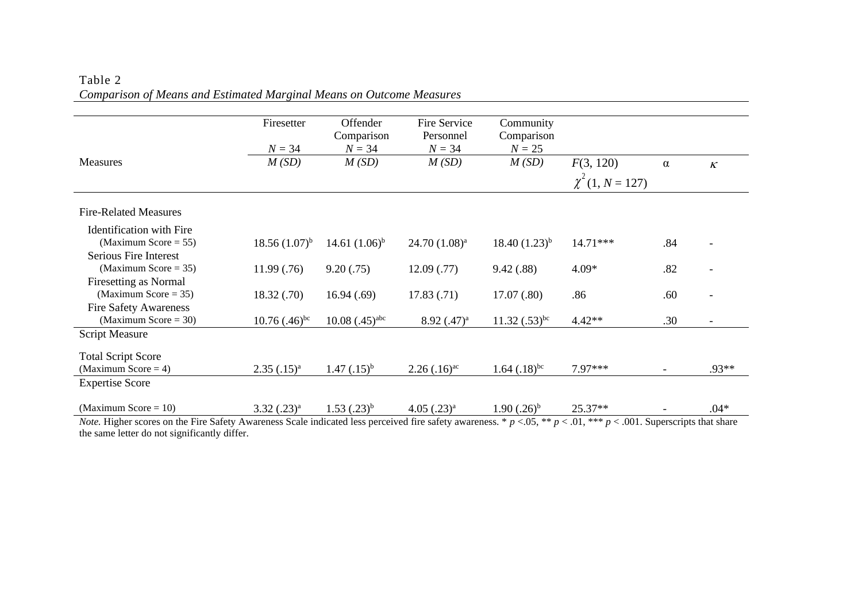|                      | Comparison                     | Personnel                      | Comparison                                      |                                              |                                   |                              |
|----------------------|--------------------------------|--------------------------------|-------------------------------------------------|----------------------------------------------|-----------------------------------|------------------------------|
| $N = 34$             | $N = 34$                       |                                |                                                 |                                              |                                   |                              |
| M(SD)                | M(SD)                          | M(SD)                          | M(SD)                                           | F(3, 120)                                    | $\alpha$                          | $\boldsymbol{\mathcal{K}}$   |
|                      |                                |                                |                                                 |                                              |                                   |                              |
|                      |                                |                                |                                                 |                                              |                                   |                              |
|                      |                                |                                |                                                 |                                              |                                   |                              |
|                      |                                |                                |                                                 |                                              |                                   |                              |
|                      |                                |                                |                                                 |                                              |                                   |                              |
| $18.56(1.07)^{b}$    | 14.61 $(1.06)^{b}$             | $24.70(1.08)^{a}$              | $18.40(1.23)^{b}$                               | $14.71***$                                   | .84                               |                              |
|                      |                                |                                |                                                 |                                              |                                   |                              |
| 11.99(.76)           | 9.20(.75)                      | 12.09(0.77)                    | 9.42(.88)                                       | $4.09*$                                      | .82                               | $\qquad \qquad \blacksquare$ |
|                      |                                |                                |                                                 |                                              |                                   |                              |
| 18.32(0.70)          | 16.94(.69)                     | 17.83(0.71)                    | 17.07(.80)                                      | .86                                          | .60                               |                              |
|                      |                                |                                |                                                 |                                              |                                   |                              |
| $10.76$ $(.46)^{bc}$ | $10.08$ $(.45)^{abc}$          | $8.92$ $(.47)^a$               | $11.32$ $(.53)^{bc}$                            | $4.42**$                                     | .30                               | $\overline{\phantom{a}}$     |
|                      |                                |                                |                                                 |                                              |                                   |                              |
|                      |                                |                                |                                                 |                                              |                                   |                              |
|                      |                                |                                |                                                 |                                              |                                   |                              |
|                      |                                |                                |                                                 |                                              |                                   | .93**                        |
|                      |                                |                                |                                                 |                                              |                                   |                              |
|                      |                                |                                |                                                 |                                              |                                   |                              |
| $3.32$ $(.23)^a$     | $1.53$ $(.23)^{b}$             | $4.05$ $(.23)^a$               | $1.90(.26)^{b}$                                 | 25.37**                                      |                                   | $.04*$                       |
|                      | Firesetter<br>$2.35$ $(.15)^a$ | Offender<br>$1.47$ $(.15)^{b}$ | Fire Service<br>$N = 34$<br>$2.26$ $(.16)^{ac}$ | Community<br>$N = 25$<br>$1.64$ $(.18)^{bc}$ | $\chi^2(1, N = 127)$<br>$7.97***$ |                              |

#### Table 2 *Comparison of Means and Estimated Marginal Means on Outcome Measures*

*Note.* Higher scores on the Fire Safety Awareness Scale indicated less perceived fire safety awareness. \*  $p < .05$ , \*\*  $p < .01$ , \*\*\*  $p < .001$ . Superscripts that share the same letter do not significantly differ.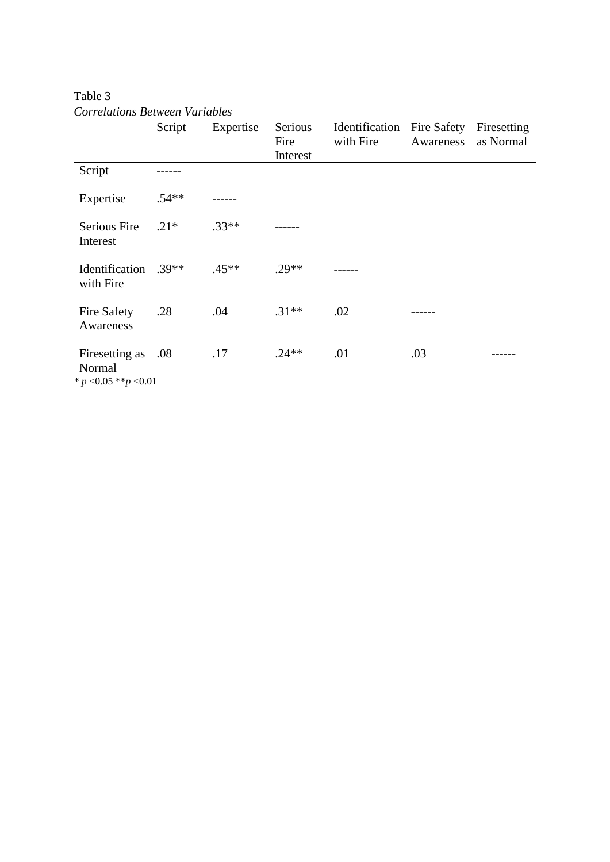|                                                        | Script  | Expertise | Serious<br>Fire<br>Interest | Identification<br>with Fire | Fire Safety<br>Awareness | Firesetting<br>as Normal |
|--------------------------------------------------------|---------|-----------|-----------------------------|-----------------------------|--------------------------|--------------------------|
| Script                                                 |         |           |                             |                             |                          |                          |
| Expertise                                              | $.54**$ |           |                             |                             |                          |                          |
| Serious Fire<br>Interest                               | $.21*$  | $.33**$   |                             |                             |                          |                          |
| Identification<br>with Fire                            | $.39**$ | $.45***$  | $.29**$                     |                             |                          |                          |
| <b>Fire Safety</b><br>Awareness                        | .28     | .04       | $.31**$                     | .02                         |                          |                          |
| Firesetting as<br>Normal<br>* $p$ < 0.05 ** $p$ < 0.01 | .08     | .17       | $.24**$                     | .01                         | .03                      |                          |

Table 3 *Correlations Between Variables*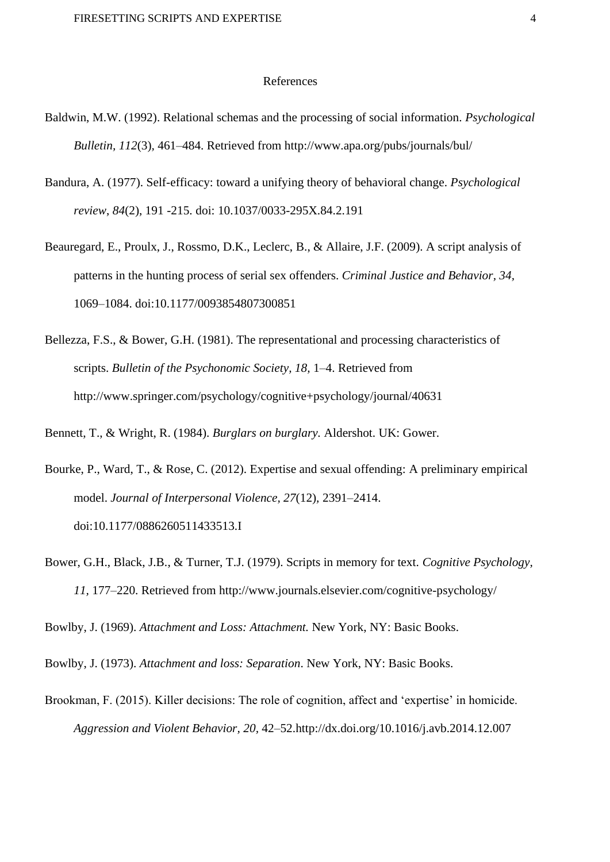#### References

- Baldwin, M.W. (1992). Relational schemas and the processing of social information. *Psychological Bulletin, 112*(3)*,* 461–484. Retrieved from http://www.apa.org/pubs/journals/bul/
- Bandura, A. (1977). Self-efficacy: toward a unifying theory of behavioral change. *Psychological review*, *84*(2), 191 -215. doi: 10.1037/0033-295X.84.2.191
- Beauregard, E., Proulx, J., Rossmo, D.K., Leclerc, B., & Allaire, J.F. (2009). A script analysis of patterns in the hunting process of serial sex offenders. *Criminal Justice and Behavior, 34,*  1069–1084. doi:10.1177/0093854807300851
- Bellezza, F.S., & Bower, G.H. (1981). The representational and processing characteristics of scripts. *Bulletin of the Psychonomic Society, 18,* 1–4. Retrieved from http://www.springer.com/psychology/cognitive+psychology/journal/40631

Bennett, T., & Wright, R. (1984). *Burglars on burglary.* Aldershot. UK: Gower.

- Bourke, P., Ward, T., & Rose, C. (2012). Expertise and sexual offending: A preliminary empirical model. *Journal of Interpersonal Violence, 27*(12)*,* 2391–2414. doi:10.1177/0886260511433513.I
- Bower, G.H., Black, J.B., & Turner, T.J. (1979). Scripts in memory for text. *Cognitive Psychology, 11,* 177–220. Retrieved from http://www.journals.elsevier.com/cognitive-psychology/

Bowlby, J. (1969). *Attachment and Loss: Attachment.* New York, NY: Basic Books.

Bowlby, J. (1973). *Attachment and loss: Separation*. New York, NY: Basic Books.

Brookman, F. (2015). Killer decisions: The role of cognition, affect and 'expertise' in homicide. *Aggression and Violent Behavior, 20,* 42–52.http://dx.doi.org/10.1016/j.avb.2014.12.007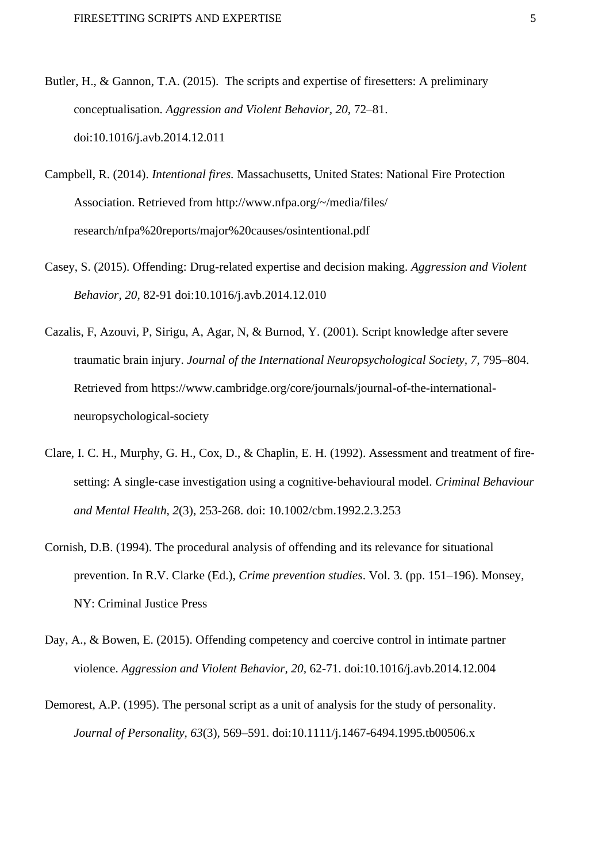- Butler, H., & Gannon, T.A. (2015). The scripts and expertise of firesetters: A preliminary conceptualisation. *Aggression and Violent Behavior, 20,* 72–81. doi:10.1016/j.avb.2014.12.011
- Campbell, R. (2014). *Intentional fires.* Massachusetts, United States: National Fire Protection Association. Retrieved from http://www.nfpa.org/~/media/files/ research/nfpa%20reports/major%20causes/osintentional.pdf
- Casey, S. (2015). Offending: Drug-related expertise and decision making. *Aggression and Violent Behavior, 20,* 82-91 doi:10.1016/j.avb.2014.12.010
- Cazalis, F, Azouvi, P, Sirigu, A, Agar, N, & Burnod, Y. (2001). Script knowledge after severe traumatic brain injury. *Journal of the International Neuropsychological Society, 7,* 795–804. Retrieved from https://www.cambridge.org/core/journals/journal-of-the-internationalneuropsychological-society
- Clare, I. C. H., Murphy, G. H., Cox, D., & Chaplin, E. H. (1992). Assessment and treatment of fire‐ setting: A single‐case investigation using a cognitive‐behavioural model. *Criminal Behaviour and Mental Health, 2*(3), 253-268. doi: 10.1002/cbm.1992.2.3.253
- Cornish, D.B. (1994). The procedural analysis of offending and its relevance for situational prevention. In R.V. Clarke (Ed.), *Crime prevention studies*. Vol. 3. (pp. 151–196). Monsey, NY: Criminal Justice Press
- Day, A., & Bowen, E. (2015). Offending competency and coercive control in intimate partner violence. *Aggression and Violent Behavior, 20,* 62-71. doi:10.1016/j.avb.2014.12.004
- Demorest, A.P. (1995). The personal script as a unit of analysis for the study of personality. *Journal of Personality, 63*(3)*,* 569–591. doi:10.1111/j.1467-6494.1995.tb00506.x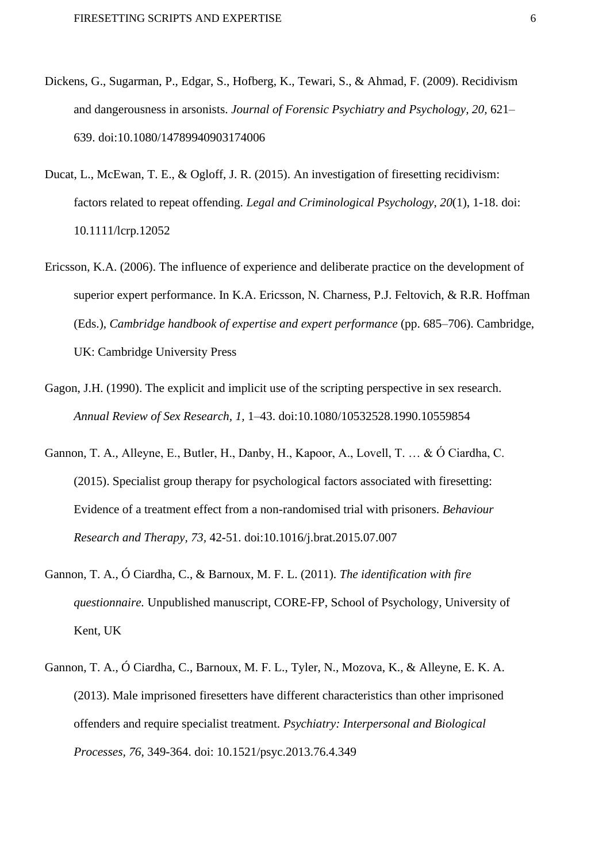- Dickens, G., Sugarman, P., Edgar, S., Hofberg, K., Tewari, S., & Ahmad, F. (2009). Recidivism and dangerousness in arsonists. *Journal of Forensic Psychiatry and Psychology, 20,* 621– 639. doi:10.1080/14789940903174006
- Ducat, L., McEwan, T. E., & Ogloff, J. R. (2015). An investigation of firesetting recidivism: factors related to repeat offending. *Legal and Criminological Psychology*, *20*(1), 1-18. doi: 10.1111/lcrp.12052
- Ericsson, K.A. (2006). The influence of experience and deliberate practice on the development of superior expert performance. In K.A. Ericsson, N. Charness, P.J. Feltovich, & R.R. Hoffman (Eds.), *Cambridge handbook of expertise and expert performance* (pp. 685–706). Cambridge, UK: Cambridge University Press
- Gagon, J.H. (1990). The explicit and implicit use of the scripting perspective in sex research. *Annual Review of Sex Research, 1,* 1–43. doi:10.1080/10532528.1990.10559854
- Gannon, T. A., Alleyne, E., Butler, H., Danby, H., Kapoor, A., Lovell, T. … & Ó Ciardha, C. (2015). Specialist group therapy for psychological factors associated with firesetting: Evidence of a treatment effect from a non-randomised trial with prisoners. *Behaviour Research and Therapy, 73,* 42-51. doi:10.1016/j.brat.2015.07.007
- Gannon, T. A., Ó Ciardha, C., & Barnoux, M. F. L. (2011). *The identification with fire questionnaire.* Unpublished manuscript, CORE-FP, School of Psychology, University of Kent, UK
- Gannon, T. A., Ó Ciardha, C., Barnoux, M. F. L., Tyler, N., Mozova, K., & Alleyne, E. K. A. (2013). Male imprisoned firesetters have different characteristics than other imprisoned offenders and require specialist treatment. *Psychiatry: Interpersonal and Biological Processes, 76*, 349-364. doi: 10.1521/psyc.2013.76.4.349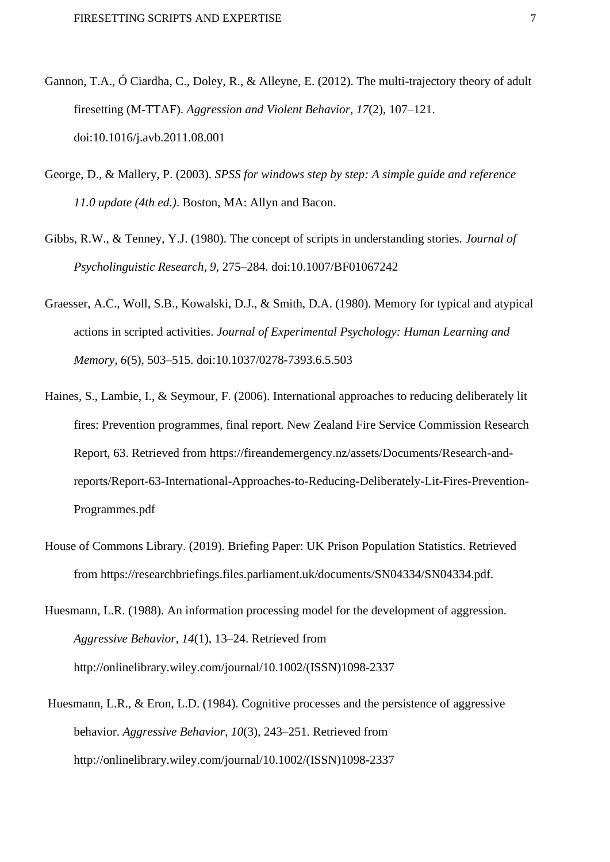- Gannon, T.A., Ó Ciardha, C., Doley, R., & Alleyne, E. (2012). The multi-trajectory theory of adult firesetting (M-TTAF). *Aggression and Violent Behavior, 17*(2)*,* 107–121. doi:10.1016/j.avb.2011.08.001
- George, D., & Mallery, P. (2003). *SPSS for windows step by step: A simple guide and reference 11.0 update (4th ed.)*. Boston, MA: Allyn and Bacon.
- Gibbs, R.W., & Tenney, Y.J. (1980). The concept of scripts in understanding stories. *Journal of Psycholinguistic Research, 9,* 275–284. doi:10.1007/BF01067242
- Graesser, A.C., Woll, S.B., Kowalski, D.J., & Smith, D.A. (1980). Memory for typical and atypical actions in scripted activities. *Journal of Experimental Psychology: Human Learning and Memory, 6*(5)*,* 503–515. doi:10.1037/0278-7393.6.5.503
- Haines, S., Lambie, I., & Seymour, F. (2006). International approaches to reducing deliberately lit fires: Prevention programmes, final report. New Zealand Fire Service Commission Research Report, 63. Retrieved from https://fireandemergency.nz/assets/Documents/Research-andreports/Report-63-International-Approaches-to-Reducing-Deliberately-Lit-Fires-Prevention-Programmes.pdf
- House of Commons Library. (2019). Briefing Paper: UK Prison Population Statistics. Retrieved from https://researchbriefings.files.parliament.uk/documents/SN04334/SN04334.pdf.
- Huesmann, L.R. (1988). An information processing model for the development of aggression. *Aggressive Behavior, 14*(1), 13–24. Retrieved from http://onlinelibrary.wiley.com/journal/10.1002/(ISSN)1098-2337
- Huesmann, L.R., & Eron, L.D. (1984). Cognitive processes and the persistence of aggressive behavior. *Aggressive Behavior, 10*(3)*,* 243–251. Retrieved from http://onlinelibrary.wiley.com/journal/10.1002/(ISSN)1098-2337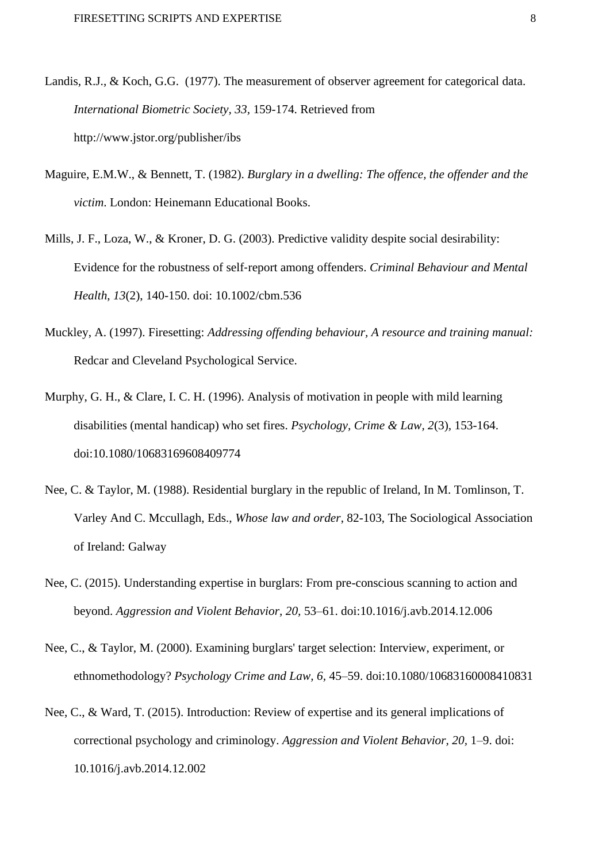- Landis, R.J., & Koch, G.G. (1977). The measurement of observer agreement for categorical data. *International Biometric Society, 33,* 159-174. Retrieved from http://www.jstor.org/publisher/ibs
- Maguire, E.M.W., & Bennett, T. (1982). *Burglary in a dwelling: The offence, the offender and the victim*. London: Heinemann Educational Books.
- Mills, J. F., Loza, W., & Kroner, D. G. (2003). Predictive validity despite social desirability: Evidence for the robustness of self‐report among offenders. *Criminal Behaviour and Mental Health*, *13*(2), 140-150. doi: 10.1002/cbm.536
- Muckley, A. (1997). Firesetting: *Addressing offending behaviour, A resource and training manual:*  Redcar and Cleveland Psychological Service.
- Murphy, G. H., & Clare, I. C. H. (1996). Analysis of motivation in people with mild learning disabilities (mental handicap) who set fires. *Psychology, Crime & Law, 2*(3)*,* 153-164. doi:10.1080/10683169608409774
- Nee, C. & Taylor, M. (1988). Residential burglary in the republic of Ireland, In M. Tomlinson, T. Varley And C. Mccullagh, Eds., *Whose law and order*, 82-103, The Sociological Association of Ireland: Galway
- Nee, C. (2015). Understanding expertise in burglars: From pre-conscious scanning to action and beyond. *Aggression and Violent Behavior, 20,* 53–61. doi:10.1016/j.avb.2014.12.006
- Nee, C., & Taylor, M. (2000). Examining burglars' target selection: Interview, experiment, or ethnomethodology? *Psychology Crime and Law, 6,* 45–59. doi:10.1080/10683160008410831
- Nee, C., & Ward, T. (2015). Introduction: Review of expertise and its general implications of correctional psychology and criminology. *Aggression and Violent Behavior, 20,* 1–9. doi: 10.1016/j.avb.2014.12.002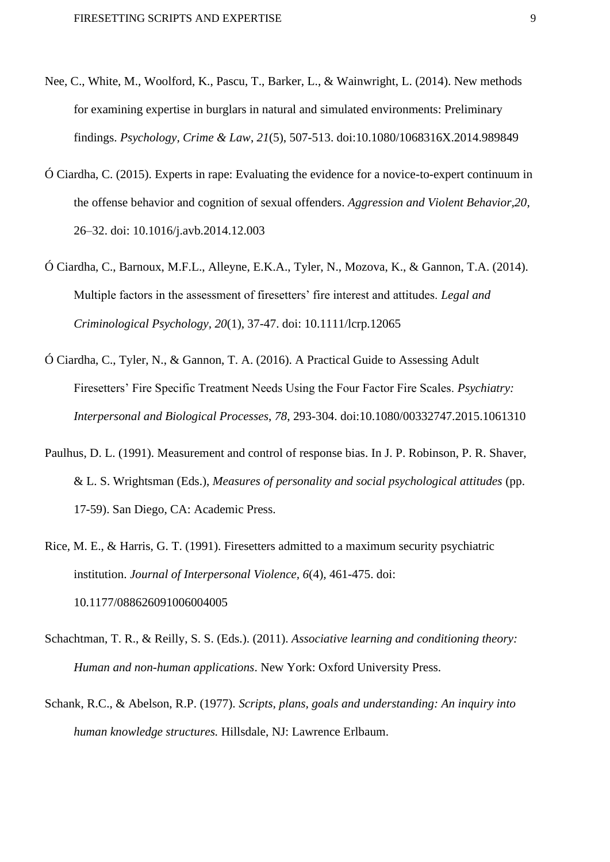- Nee, C., White, M., Woolford, K., Pascu, T., Barker, L., & Wainwright, L. (2014). New methods for examining expertise in burglars in natural and simulated environments: Preliminary findings. *Psychology, Crime & Law*, *21*(5), 507-513. doi:10.1080/1068316X.2014.989849
- Ó Ciardha, C. (2015). Experts in rape: Evaluating the evidence for a novice-to-expert continuum in the offense behavior and cognition of sexual offenders. *Aggression and Violent Behavior,20*, 26–32. doi: 10.1016/j.avb.2014.12.003
- Ó Ciardha, C., Barnoux, M.F.L., Alleyne, E.K.A., Tyler, N., Mozova, K., & Gannon, T.A. (2014). Multiple factors in the assessment of firesetters' fire interest and attitudes. *Legal and Criminological Psychology, 20*(1)*,* 37-47. doi: 10.1111/lcrp.12065
- Ó Ciardha, C., Tyler, N., & Gannon, T. A. (2016). A Practical Guide to Assessing Adult Firesetters' Fire Specific Treatment Needs Using the Four Factor Fire Scales. *Psychiatry: Interpersonal and Biological Processes*, *78*, 293-304. doi:10.1080/00332747.2015.1061310
- Paulhus, D. L. (1991). Measurement and control of response bias. In J. P. Robinson, P. R. Shaver, & L. S. Wrightsman (Eds.), *Measures of personality and social psychological attitudes* (pp. 17-59). San Diego, CA: Academic Press.
- Rice, M. E., & Harris, G. T. (1991). Firesetters admitted to a maximum security psychiatric institution. *Journal of Interpersonal Violence, 6*(4)*,* 461-475. doi: 10.1177/088626091006004005
- Schachtman, T. R., & Reilly, S. S. (Eds.). (2011). *Associative learning and conditioning theory: Human and non-human applications*. New York: Oxford University Press.
- Schank, R.C., & Abelson, R.P. (1977). *Scripts, plans, goals and understanding: An inquiry into human knowledge structures.* Hillsdale, NJ: Lawrence Erlbaum.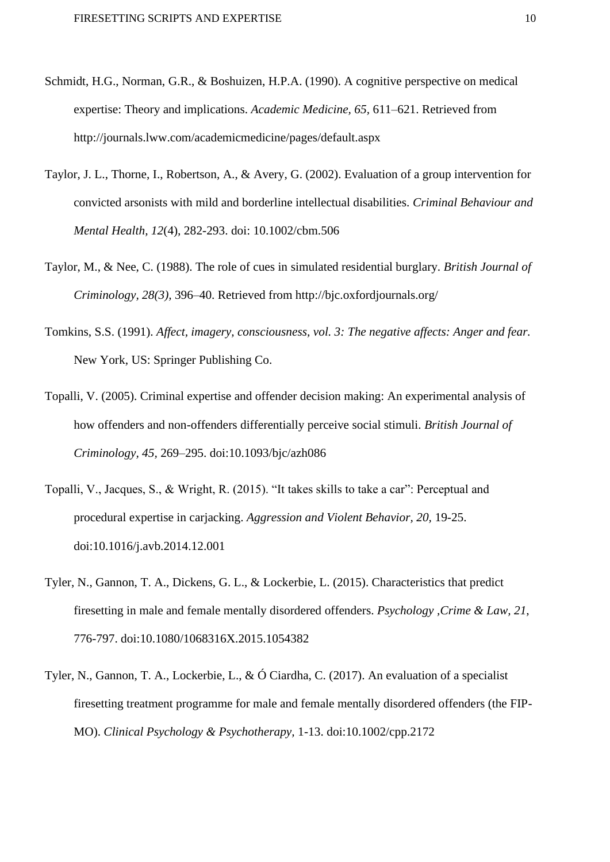- Schmidt, H.G., Norman, G.R., & Boshuizen, H.P.A. (1990). A cognitive perspective on medical expertise: Theory and implications. *Academic Medicine, 65,* 611–621. Retrieved from http://journals.lww.com/academicmedicine/pages/default.aspx
- Taylor, J. L., Thorne, I., Robertson, A., & Avery, G. (2002). Evaluation of a group intervention for convicted arsonists with mild and borderline intellectual disabilities. *Criminal Behaviour and Mental Health, 12*(4)*,* 282-293. doi: 10.1002/cbm.506
- Taylor, M., & Nee, C. (1988). The role of cues in simulated residential burglary. *British Journal of Criminology, 28(3),* 396–40. Retrieved from http://bjc.oxfordjournals.org/
- Tomkins, S.S. (1991). *Affect, imagery, consciousness, vol. 3: The negative affects: Anger and fear.*  New York, US: Springer Publishing Co.
- Topalli, V. (2005). Criminal expertise and offender decision making: An experimental analysis of how offenders and non-offenders differentially perceive social stimuli. *British Journal of Criminology, 45,* 269–295. doi:10.1093/bjc/azh086
- Topalli, V., Jacques, S., & Wright, R. (2015). "It takes skills to take a car": Perceptual and procedural expertise in carjacking. *Aggression and Violent Behavior, 20,* 19-25. doi:10.1016/j.avb.2014.12.001
- Tyler, N., Gannon, T. A., Dickens, G. L., & Lockerbie, L. (2015). Characteristics that predict firesetting in male and female mentally disordered offenders. *Psychology ,Crime & Law, 21*, 776-797. doi:10.1080/1068316X.2015.1054382
- Tyler, N., Gannon, T. A., Lockerbie, L., & Ó Ciardha, C. (2017). An evaluation of a specialist firesetting treatment programme for male and female mentally disordered offenders (the FIP-MO). *Clinical Psychology & Psychotherapy,* 1-13. doi:10.1002/cpp.2172